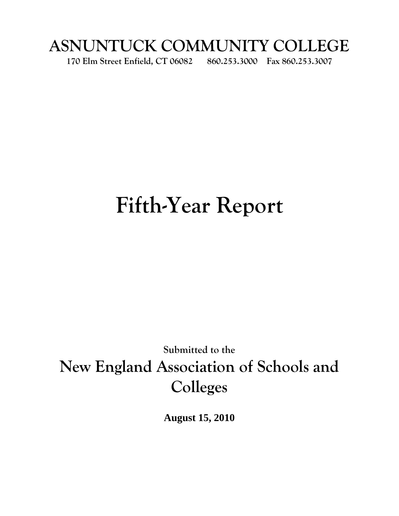## **ASNUNTUCK COMMUNITY COLLEGE**

**170 Elm Street Enfield, CT 06082 860.253.3000 Fax 860.253.3007**

# **Fifth-Year Report**

## **Submitted to the New England Association of Schools and Colleges**

**August 15, 2010**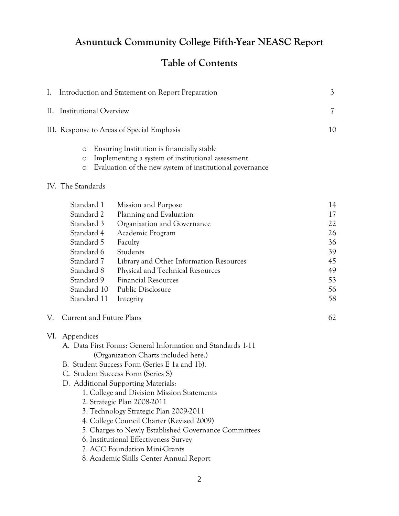## **Asnuntuck Community College Fifth-Year NEASC Report**

## **Table of Contents**

| I.                                                                                                                                                       | Introduction and Statement on Report Preparation                                                                                                                                                                                                                                                                                                                                                                                                                                                                                                                                    | 3                                                              |
|----------------------------------------------------------------------------------------------------------------------------------------------------------|-------------------------------------------------------------------------------------------------------------------------------------------------------------------------------------------------------------------------------------------------------------------------------------------------------------------------------------------------------------------------------------------------------------------------------------------------------------------------------------------------------------------------------------------------------------------------------------|----------------------------------------------------------------|
| <b>Institutional Overview</b><br>II.                                                                                                                     |                                                                                                                                                                                                                                                                                                                                                                                                                                                                                                                                                                                     | $\overline{\mathcal{U}}$                                       |
|                                                                                                                                                          | III. Response to Areas of Special Emphasis                                                                                                                                                                                                                                                                                                                                                                                                                                                                                                                                          | 10                                                             |
| O<br>$\circ$<br>$\circ$                                                                                                                                  | Ensuring Institution is financially stable<br>Implementing a system of institutional assessment<br>Evaluation of the new system of institutional governance                                                                                                                                                                                                                                                                                                                                                                                                                         |                                                                |
| IV. The Standards                                                                                                                                        |                                                                                                                                                                                                                                                                                                                                                                                                                                                                                                                                                                                     |                                                                |
| Standard 1<br>Standard 2<br>Standard 3<br>Standard 4<br>Standard 5<br>Standard 6<br>Standard 7<br>Standard 8<br>Standard 9<br>Standard 10<br>Standard 11 | Mission and Purpose<br>Planning and Evaluation<br>Organization and Governance<br>Academic Program<br>Faculty<br>Students<br>Library and Other Information Resources<br>Physical and Technical Resources<br><b>Financial Resources</b><br>Public Disclosure<br>Integrity                                                                                                                                                                                                                                                                                                             | 14<br>17<br>22<br>26<br>36<br>39<br>45<br>49<br>53<br>56<br>58 |
| Current and Future Plans<br>V.                                                                                                                           |                                                                                                                                                                                                                                                                                                                                                                                                                                                                                                                                                                                     | 62                                                             |
| VI. Appendices                                                                                                                                           | A. Data First Forms: General Information and Standards 1-11<br>(Organization Charts included here.)<br>B. Student Success Form (Series E 1a and 1b).<br>C. Student Success Form (Series S)<br>D. Additional Supporting Materials:<br>1. College and Division Mission Statements<br>2. Strategic Plan 2008-2011<br>3. Technology Strategic Plan 2009-2011<br>4. College Council Charter (Revised 2009)<br>5. Charges to Newly Established Governance Committees<br>6. Institutional Effectiveness Survey<br>7. ACC Foundation Mini-Grants<br>8. Academic Skills Center Annual Report |                                                                |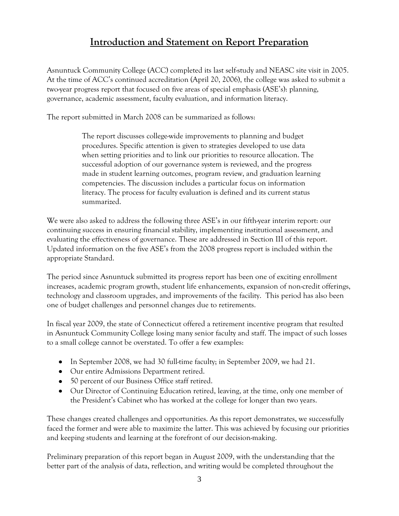## **Introduction and Statement on Report Preparation**

Asnuntuck Community College (ACC) completed its last self-study and NEASC site visit in 2005. At the time of ACC's continued accreditation (April 20, 2006), the college was asked to submit a two-year progress report that focused on five areas of special emphasis (ASE's): planning, governance, academic assessment, faculty evaluation, and information literacy.

The report submitted in March 2008 can be summarized as follows:

The report discusses college-wide improvements to planning and budget procedures. Specific attention is given to strategies developed to use data when setting priorities and to link our priorities to resource allocation. The successful adoption of our governance system is reviewed, and the progress made in student learning outcomes, program review, and graduation learning competencies. The discussion includes a particular focus on information literacy. The process for faculty evaluation is defined and its current status summarized.

We were also asked to address the following three ASE's in our fifth-year interim report: our continuing success in ensuring financial stability, implementing institutional assessment, and evaluating the effectiveness of governance. These are addressed in Section III of this report. Updated information on the five ASE's from the 2008 progress report is included within the appropriate Standard.

The period since Asnuntuck submitted its progress report has been one of exciting enrollment increases, academic program growth, student life enhancements, expansion of non-credit offerings, technology and classroom upgrades, and improvements of the facility. This period has also been one of budget challenges and personnel changes due to retirements.

In fiscal year 2009, the state of Connecticut offered a retirement incentive program that resulted in Asnuntuck Community College losing many senior faculty and staff. The impact of such losses to a small college cannot be overstated. To offer a few examples:

- In September 2008, we had 30 full-time faculty; in September 2009, we had 21.
- Our entire Admissions Department retired.
- 50 percent of our Business Office staff retired.
- Our Director of Continuing Education retired, leaving, at the time, only one member of the President's Cabinet who has worked at the college for longer than two years.

These changes created challenges and opportunities. As this report demonstrates, we successfully faced the former and were able to maximize the latter. This was achieved by focusing our priorities and keeping students and learning at the forefront of our decision-making.

Preliminary preparation of this report began in August 2009, with the understanding that the better part of the analysis of data, reflection, and writing would be completed throughout the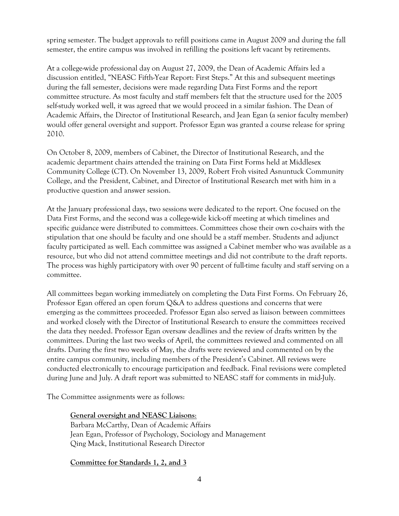spring semester. The budget approvals to refill positions came in August 2009 and during the fall semester, the entire campus was involved in refilling the positions left vacant by retirements.

At a college-wide professional day on August 27, 2009, the Dean of Academic Affairs led a discussion entitled, "NEASC Fifth-Year Report: First Steps." At this and subsequent meetings during the fall semester, decisions were made regarding Data First Forms and the report committee structure. As most faculty and staff members felt that the structure used for the 2005 self-study worked well, it was agreed that we would proceed in a similar fashion. The Dean of Academic Affairs, the Director of Institutional Research, and Jean Egan (a senior faculty member) would offer general oversight and support. Professor Egan was granted a course release for spring 2010.

On October 8, 2009, members of Cabinet, the Director of Institutional Research, and the academic department chairs attended the training on Data First Forms held at Middlesex Community College (CT). On November 13, 2009, Robert Froh visited Asnuntuck Community College, and the President, Cabinet, and Director of Institutional Research met with him in a productive question and answer session.

At the January professional days, two sessions were dedicated to the report. One focused on the Data First Forms, and the second was a college-wide kick-off meeting at which timelines and specific guidance were distributed to committees. Committees chose their own co-chairs with the stipulation that one should be faculty and one should be a staff member. Students and adjunct faculty participated as well. Each committee was assigned a Cabinet member who was available as a resource, but who did not attend committee meetings and did not contribute to the draft reports. The process was highly participatory with over 90 percent of full-time faculty and staff serving on a committee.

All committees began working immediately on completing the Data First Forms. On February 26, Professor Egan offered an open forum Q&A to address questions and concerns that were emerging as the committees proceeded. Professor Egan also served as liaison between committees and worked closely with the Director of Institutional Research to ensure the committees received the data they needed. Professor Egan oversaw deadlines and the review of drafts written by the committees. During the last two weeks of April, the committees reviewed and commented on all drafts. During the first two weeks of May, the drafts were reviewed and commented on by the entire campus community, including members of the President's Cabinet. All reviews were conducted electronically to encourage participation and feedback. Final revisions were completed during June and July. A draft report was submitted to NEASC staff for comments in mid-July.

The Committee assignments were as follows:

#### **General oversight and NEASC Liaisons**:

Barbara McCarthy, Dean of Academic Affairs Jean Egan, Professor of Psychology, Sociology and Management Qing Mack, Institutional Research Director

#### **Committee for Standards 1, 2, and 3**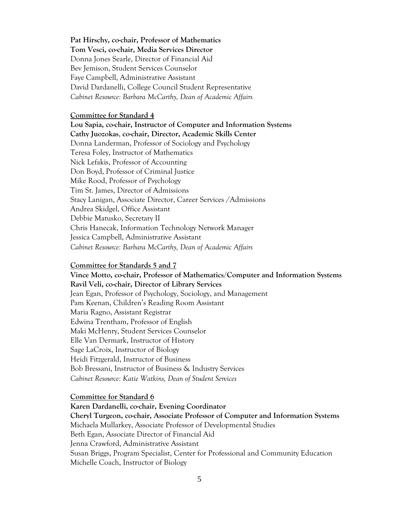**Pat Hirschy, co-chair, Professor of Mathematics**

**Tom Vesci, co-chair, Media Services Director**

 Donna Jones Searle, Director of Financial Aid Bev Jemison, Student Services Counselor Faye Campbell, Administrative Assistant David Dardanelli, College Council Student Representative *Cabinet Resource: Barbara McCarthy, Dean of Academic Affairs*

#### **Committee for Standard 4**

**Lou Sapia, co-chair, Instructor of Computer and Information Systems Cathy Juozokas**, **co-chair, Director, Academic Skills Center** Donna Landerman, Professor of Sociology and Psychology Teresa Foley, Instructor of Mathematics Nick Lefakis, Professor of Accounting Don Boyd, Professor of Criminal Justice Mike Rood, Professor of Psychology Tim St. James, Director of Admissions Stacy Lanigan, Associate Director, Career Services /Admissions Andrea Skidgel, Office Assistant Debbie Matusko, Secretary II Chris Hanecak, Information Technology Network Manager Jessica Campbell, Administrative Assistant *Cabinet Resource: Barbara McCarthy, Dean of Academic Affairs*

#### **Committee for Standards 5 and 7**

**Vince Motto, co-chair, Professor of Mathematics/Computer and Information Systems Ravil Veli, co-chair, Director of Library Services** Jean Egan, Professor of Psychology, Sociology, and Management Pam Keenan, Children's Reading Room Assistant Maria Ragno, Assistant Registrar Edwina Trentham, Professor of English Maki McHenry, Student Services Counselor Elle Van Dermark, Instructor of History Sage LaCroix, Instructor of Biology Heidi Fitzgerald, Instructor of Business Bob Bressani, Instructor of Business & Industry Services *Cabinet Resource: Katie Watkins, Dean of Student Services*

#### **Committee for Standard 6**

**Karen Dardanelli, co-chair, Evening Coordinator Cheryl Turgeon, co-chair, Associate Professor of Computer and Information Systems** Michaela Mullarkey, Associate Professor of Developmental Studies Beth Egan, Associate Director of Financial Aid Jenna Crawford, Administrative Assistant Susan Briggs, Program Specialist, Center for Professional and Community Education Michelle Coach, Instructor of Biology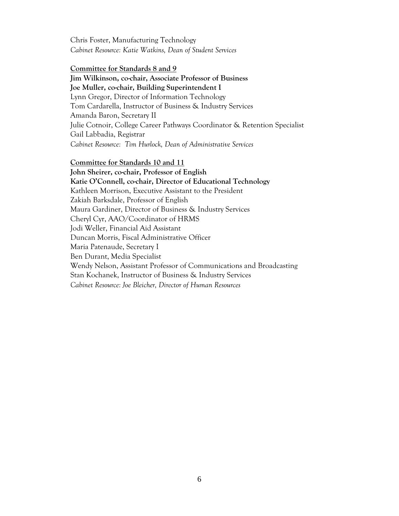Chris Foster, Manufacturing Technology *Cabinet Resource: Katie Watkins, Dean of Student Services*

#### **Committee for Standards 8 and 9**

**Jim Wilkinson, co-chair, Associate Professor of Business Joe Muller, co-chair, Building Superintendent I** Lynn Gregor, Director of Information Technology Tom Cardarella, Instructor of Business & Industry Services Amanda Baron, Secretary II Julie Cotnoir, College Career Pathways Coordinator & Retention Specialist Gail Labbadia, Registrar *Cabinet Resource: Tim Hurlock, Dean of Administrative Services*

**Committee for Standards 10 and 11** 

**John Sheirer, co-chair, Professor of English Katie O'Connell, co-chair, Director of Educational Technology** Kathleen Morrison, Executive Assistant to the President Zakiah Barksdale, Professor of English Maura Gardiner, Director of Business & Industry Services Cheryl Cyr, AAO/Coordinator of HRMS Jodi Weller, Financial Aid Assistant Duncan Morris, Fiscal Administrative Officer Maria Patenaude, Secretary I Ben Durant, Media Specialist Wendy Nelson, Assistant Professor of Communications and Broadcasting Stan Kochanek, Instructor of Business & Industry Services *Cabinet Resource: Joe Bleicher, Director of Human Resources*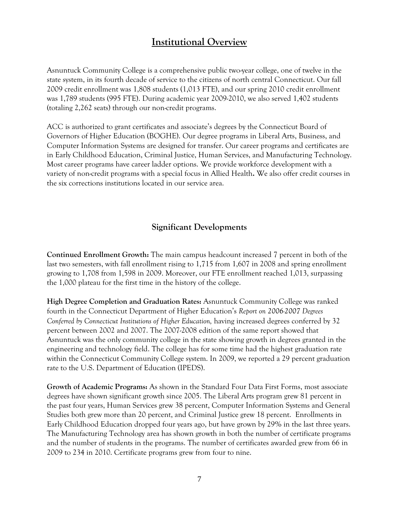## **Institutional Overview**

Asnuntuck Community College is a comprehensive public two-year college, one of twelve in the state system, in its fourth decade of service to the citizens of north central Connecticut. Our fall 2009 credit enrollment was 1,808 students (1,013 FTE), and our spring 2010 credit enrollment was 1,789 students (995 FTE). During academic year 2009-2010, we also served 1,402 students (totaling 2,262 seats) through our non-credit programs.

ACC is authorized to grant certificates and associate's degrees by the Connecticut Board of Governors of Higher Education (BOGHE). Our degree programs in Liberal Arts, Business, and Computer Information Systems are designed for transfer. Our career programs and certificates are in Early Childhood Education, Criminal Justice, Human Services, and Manufacturing Technology. Most career programs have career ladder options. We provide workforce development with a variety of non-credit programs with a special focus in Allied Health**.** We also offer credit courses in the six corrections institutions located in our service area.

## **Significant Developments**

**Continued Enrollment Growth:** The main campus headcount increased 7 percent in both of the last two semesters, with fall enrollment rising to 1,715 from 1,607 in 2008 and spring enrollment growing to 1,708 from 1,598 in 2009. Moreover, our FTE enrollment reached 1,013, surpassing the 1,000 plateau for the first time in the history of the college.

**High Degree Completion and Graduation Rates:** Asnuntuck Community College was ranked fourth in the Connecticut Department of Higher Education's *Report on 2006-2007 Degrees Conferred by Connecticut Institutions of Higher Education,* having increased degrees conferred by 32 percent between 2002 and 2007. The 2007-2008 edition of the same report showed that Asnuntuck was the only community college in the state showing growth in degrees granted in the engineering and technology field. The college has for some time had the highest graduation rate within the Connecticut Community College system. In 2009, we reported a 29 percent graduation rate to the U.S. Department of Education (IPEDS).

**Growth of Academic Programs:** As shown in the Standard Four Data First Forms, most associate degrees have shown significant growth since 2005. The Liberal Arts program grew 81 percent in the past four years, Human Services grew 38 percent, Computer Information Systems and General Studies both grew more than 20 percent, and Criminal Justice grew 18 percent. Enrollments in Early Childhood Education dropped four years ago, but have grown by 29% in the last three years. The Manufacturing Technology area has shown growth in both the number of certificate programs and the number of students in the programs. The number of certificates awarded grew from 66 in 2009 to 234 in 2010. Certificate programs grew from four to nine.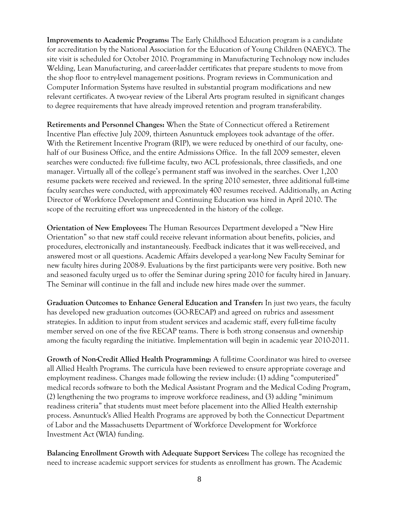**Improvements to Academic Programs:** The Early Childhood Education program is a candidate for accreditation by the National Association for the Education of Young Children (NAEYC). The site visit is scheduled for October 2010. Programming in Manufacturing Technology now includes Welding, Lean Manufacturing, and career-ladder certificates that prepare students to move from the shop floor to entry-level management positions. Program reviews in Communication and Computer Information Systems have resulted in substantial program modifications and new relevant certificates. A two-year review of the Liberal Arts program resulted in significant changes to degree requirements that have already improved retention and program transferability.

**Retirements and Personnel Changes:** When the State of Connecticut offered a Retirement Incentive Plan effective July 2009, thirteen Asnuntuck employees took advantage of the offer. With the Retirement Incentive Program (RIP), we were reduced by one-third of our faculty, onehalf of our Business Office, and the entire Admissions Office. In the fall 2009 semester, eleven searches were conducted: five full-time faculty, two ACL professionals, three classifieds, and one manager. Virtually all of the college's permanent staff was involved in the searches. Over 1,200 resume packets were received and reviewed. In the spring 2010 semester, three additional full-time faculty searches were conducted, with approximately 400 resumes received. Additionally, an Acting Director of Workforce Development and Continuing Education was hired in April 2010. The scope of the recruiting effort was unprecedented in the history of the college.

**Orientation of New Employees:** The Human Resources Department developed a "New Hire Orientation" so that new staff could receive relevant information about benefits, policies, and procedures, electronically and instantaneously. Feedback indicates that it was well-received, and answered most or all questions. Academic Affairs developed a year-long New Faculty Seminar for new faculty hires during 2008-9. Evaluations by the first participants were very positive. Both new and seasoned faculty urged us to offer the Seminar during spring 2010 for faculty hired in January. The Seminar will continue in the fall and include new hires made over the summer.

**Graduation Outcomes to Enhance General Education and Transfer:** In just two years, the faculty has developed new graduation outcomes (GO-RECAP) and agreed on rubrics and assessment strategies. In addition to input from student services and academic staff, every full-time faculty member served on one of the five RECAP teams. There is both strong consensus and ownership among the faculty regarding the initiative. Implementation will begin in academic year 2010-2011.

**Growth of Non-Credit Allied Health Programming:** A full-time Coordinator was hired to oversee all Allied Health Programs. The curricula have been reviewed to ensure appropriate coverage and employment readiness. Changes made following the review include: (1) adding "computerized" medical records software to both the Medical Assistant Program and the Medical Coding Program, (2) lengthening the two programs to improve workforce readiness, and (3) adding "minimum readiness criteria" that students must meet before placement into the Allied Health externship process. Asnuntuck's Allied Health Programs are approved by both the Connecticut Department of Labor and the Massachusetts Department of Workforce Development for Workforce Investment Act (WIA) funding.

**Balancing Enrollment Growth with Adequate Support Services:** The college has recognized the need to increase academic support services for students as enrollment has grown. The Academic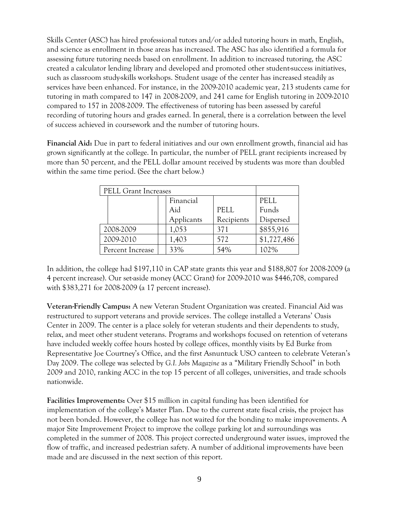Skills Center (ASC) has hired professional tutors and/or added tutoring hours in math, English, and science as enrollment in those areas has increased. The ASC has also identified a formula for assessing future tutoring needs based on enrollment. In addition to increased tutoring, the ASC created a calculator lending library and developed and promoted other student-success initiatives, such as classroom study-skills workshops. Student usage of the center has increased steadily as services have been enhanced. For instance, in the 2009-2010 academic year, 213 students came for tutoring in math compared to 147 in 2008-2009, and 241 came for English tutoring in 2009-2010 compared to 157 in 2008-2009. The effectiveness of tutoring has been assessed by careful recording of tutoring hours and grades earned. In general, there is a correlation between the level of success achieved in coursework and the number of tutoring hours.

**Financial Aid:** Due in part to federal initiatives and our own enrollment growth, financial aid has grown significantly at the college. In particular, the number of PELL grant recipients increased by more than 50 percent, and the PELL dollar amount received by students was more than doubled within the same time period. (See the chart below.)

| PELL Grant Increases |            |            |             |
|----------------------|------------|------------|-------------|
|                      | Financial  |            | PELL        |
|                      | Aid        | PELL       | Funds       |
|                      | Applicants | Recipients | Dispersed   |
| 2008-2009            | 1,053      | 371        | \$855,916   |
| 2009-2010            | 1,403      | 572        | \$1,727,486 |
| Percent Increase     | 33%        | 54%        | 102%        |

In addition, the college had \$197,110 in CAP state grants this year and \$188,807 for 2008-2009 (a 4 percent increase). Our set-aside money (ACC Grant) for 2009-2010 was \$446,708, compared with \$383,271 for 2008-2009 (a 17 percent increase).

**Veteran-Friendly Campus:** A new Veteran Student Organization was created. Financial Aid was restructured to support veterans and provide services. The college installed a Veterans' Oasis Center in 2009. The center is a place solely for veteran students and their dependents to study, relax, and meet other student veterans. Programs and workshops focused on retention of veterans have included weekly coffee hours hosted by college offices, monthly visits by Ed Burke from Representative Joe Courtney's Office, and the first Asnuntuck USO canteen to celebrate Veteran's Day 2009. The college was selected by *G.I. Jobs Magazine* as a "Military Friendly School" in both 2009 and 2010, ranking ACC in the top 15 percent of all colleges, universities, and trade schools nationwide.

**Facilities Improvements:** Over \$15 million in capital funding has been identified for implementation of the college's Master Plan. Due to the current state fiscal crisis, the project has not been bonded. However, the college has not waited for the bonding to make improvements. A major Site Improvement Project to improve the college parking lot and surroundings was completed in the summer of 2008. This project corrected underground water issues, improved the flow of traffic, and increased pedestrian safety. A number of additional improvements have been made and are discussed in the next section of this report.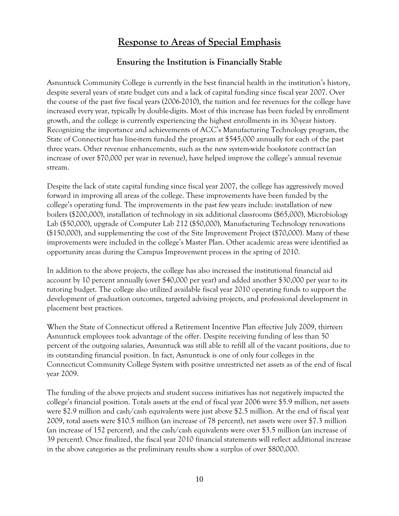## **Response to Areas of Special Emphasis**

## **Ensuring the Institution is Financially Stable**

Asnuntuck Community College is currently in the best financial health in the institution's history, despite several years of state budget cuts and a lack of capital funding since fiscal year 2007. Over the course of the past five fiscal years (2006-2010), the tuition and fee revenues for the college have increased every year, typically by double-digits. Most of this increase has been fueled by enrollment growth, and the college is currently experiencing the highest enrollments in its 30-year history. Recognizing the importance and achievements of ACC's Manufacturing Technology program, the State of Connecticut has line-item funded the program at \$545,000 annually for each of the past three years. Other revenue enhancements, such as the new system-wide bookstore contract (an increase of over \$70,000 per year in revenue), have helped improve the college's annual revenue stream.

Despite the lack of state capital funding since fiscal year 2007, the college has aggressively moved forward in improving all areas of the college. These improvements have been funded by the college's operating fund. The improvements in the past few years include: installation of new boilers (\$200,000), installation of technology in six additional classrooms (\$65,000), Microbiology Lab (\$50,000), upgrade of Computer Lab 212 (\$50,000), Manufacturing Technology renovations (\$150,000), and supplementing the cost of the Site Improvement Project (\$70,000). Many of these improvements were included in the college's Master Plan. Other academic areas were identified as opportunity areas during the Campus Improvement process in the spring of 2010.

In addition to the above projects, the college has also increased the institutional financial aid account by 10 percent annually (over \$40,000 per year) and added another \$30,000 per year to its tutoring budget. The college also utilized available fiscal year 2010 operating funds to support the development of graduation outcomes, targeted advising projects, and professional development in placement best practices.

When the State of Connecticut offered a Retirement Incentive Plan effective July 2009, thirteen Asnuntuck employees took advantage of the offer. Despite receiving funding of less than 50 percent of the outgoing salaries, Asnuntuck was still able to refill all of the vacant positions, due to its outstanding financial position. In fact, Asnuntuck is one of only four colleges in the Connecticut Community College System with positive unrestricted net assets as of the end of fiscal year 2009.

The funding of the above projects and student success initiatives has not negatively impacted the college's financial position. Totals assets at the end of fiscal year 2006 were \$5.9 million, net assets were \$2.9 million and cash/cash equivalents were just above \$2.5 million. At the end of fiscal year 2009, total assets were \$10.5 million (an increase of 78 percent), net assets were over \$7.3 million (an increase of 152 percent), and the cash/cash equivalents were over \$3.5 million (an increase of 39 percent). Once finalized, the fiscal year 2010 financial statements will reflect additional increase in the above categories as the preliminary results show a surplus of over \$800,000.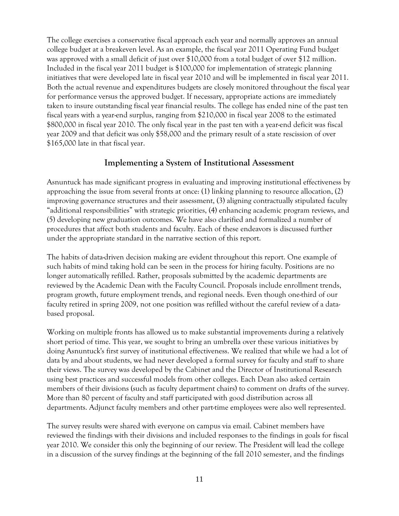The college exercises a conservative fiscal approach each year and normally approves an annual college budget at a breakeven level. As an example, the fiscal year 2011 Operating Fund budget was approved with a small deficit of just over \$10,000 from a total budget of over \$12 million. Included in the fiscal year 2011 budget is \$100,000 for implementation of strategic planning initiatives that were developed late in fiscal year 2010 and will be implemented in fiscal year 2011. Both the actual revenue and expenditures budgets are closely monitored throughout the fiscal year for performance versus the approved budget. If necessary, appropriate actions are immediately taken to insure outstanding fiscal year financial results. The college has ended nine of the past ten fiscal years with a year-end surplus, ranging from \$210,000 in fiscal year 2008 to the estimated \$800,000 in fiscal year 2010. The only fiscal year in the past ten with a year-end deficit was fiscal year 2009 and that deficit was only \$58,000 and the primary result of a state rescission of over \$165,000 late in that fiscal year.

#### **Implementing a System of Institutional Assessment**

Asnuntuck has made significant progress in evaluating and improving institutional effectiveness by approaching the issue from several fronts at once: (1) linking planning to resource allocation, (2) improving governance structures and their assessment, (3) aligning contractually stipulated faculty "additional responsibilities" with strategic priorities, (4) enhancing academic program reviews, and (5) developing new graduation outcomes. We have also clarified and formalized a number of procedures that affect both students and faculty. Each of these endeavors is discussed further under the appropriate standard in the narrative section of this report.

The habits of data-driven decision making are evident throughout this report. One example of such habits of mind taking hold can be seen in the process for hiring faculty. Positions are no longer automatically refilled. Rather, proposals submitted by the academic departments are reviewed by the Academic Dean with the Faculty Council. Proposals include enrollment trends, program growth, future employment trends, and regional needs. Even though one-third of our faculty retired in spring 2009, not one position was refilled without the careful review of a databased proposal.

Working on multiple fronts has allowed us to make substantial improvements during a relatively short period of time. This year, we sought to bring an umbrella over these various initiatives by doing Asnuntuck's first survey of institutional effectiveness. We realized that while we had a lot of data by and about students, we had never developed a formal survey for faculty and staff to share their views. The survey was developed by the Cabinet and the Director of Institutional Research using best practices and successful models from other colleges. Each Dean also asked certain members of their divisions (such as faculty department chairs) to comment on drafts of the survey. More than 80 percent of faculty and staff participated with good distribution across all departments. Adjunct faculty members and other part-time employees were also well represented.

The survey results were shared with everyone on campus via email. Cabinet members have reviewed the findings with their divisions and included responses to the findings in goals for fiscal year 2010. We consider this only the beginning of our review. The President will lead the college in a discussion of the survey findings at the beginning of the fall 2010 semester, and the findings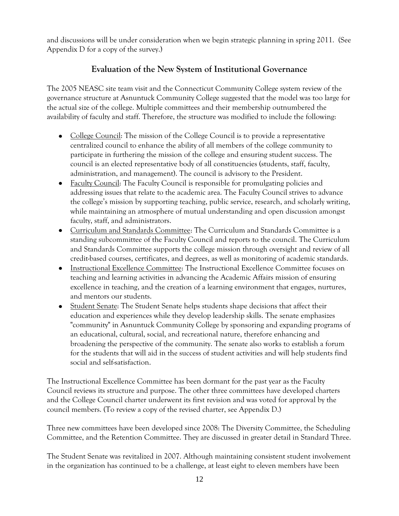and discussions will be under consideration when we begin strategic planning in spring 2011. (See Appendix D for a copy of the survey.)

## **Evaluation of the New System of Institutional Governance**

The 2005 NEASC site team visit and the Connecticut Community College system review of the governance structure at Asnuntuck Community College suggested that the model was too large for the actual size of the college. Multiple committees and their membership outnumbered the availability of faculty and staff. Therefore, the structure was modified to include the following:

- College Council: The mission of the College Council is to provide a representative centralized council to enhance the ability of all members of the college community to participate in furthering the mission of the college and ensuring student success. The council is an elected representative body of all constituencies (students, staff, faculty, administration, and management). The council is advisory to the President.
- Faculty Council: The Faculty Council is responsible for promulgating policies and addressing issues that relate to the academic area. The Faculty Council strives to advance the college's mission by supporting teaching, public service, research, and scholarly writing, while maintaining an atmosphere of mutual understanding and open discussion amongst faculty, staff, and administrators.
- Curriculum and Standards Committee: The Curriculum and Standards Committee is a standing subcommittee of the Faculty Council and reports to the council. The Curriculum and Standards Committee supports the college mission through oversight and review of all credit-based courses, certificates, and degrees, as well as monitoring of academic standards.
- **Instructional Excellence Committee: The Instructional Excellence Committee focuses on** teaching and learning activities in advancing the Academic Affairs mission of ensuring excellence in teaching, and the creation of a learning environment that engages, nurtures, and mentors our students.
- Student Senate: The Student Senate helps students shape decisions that affect their education and experiences while they develop leadership skills. The senate emphasizes "community" in Asnuntuck Community College by sponsoring and expanding programs of an educational, cultural, social, and recreational nature, therefore enhancing and broadening the perspective of the community. The senate also works to establish a forum for the students that will aid in the success of student activities and will help students find social and self-satisfaction.

The Instructional Excellence Committee has been dormant for the past year as the Faculty Council reviews its structure and purpose. The other three committees have developed charters and the College Council charter underwent its first revision and was voted for approval by the council members. (To review a copy of the revised charter, see Appendix D.)

Three new committees have been developed since 2008: The Diversity Committee, the Scheduling Committee, and the Retention Committee. They are discussed in greater detail in Standard Three.

The Student Senate was revitalized in 2007. Although maintaining consistent student involvement in the organization has continued to be a challenge, at least eight to eleven members have been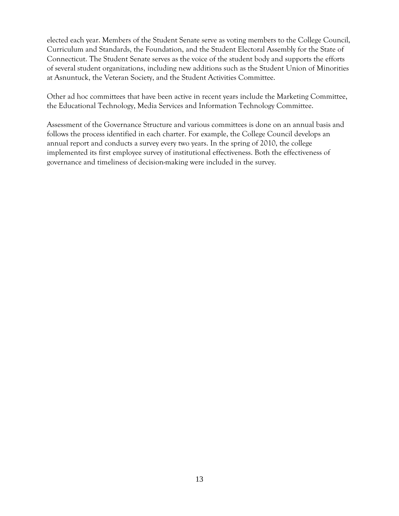elected each year. Members of the Student Senate serve as voting members to the College Council, Curriculum and Standards, the Foundation, and the Student Electoral Assembly for the State of Connecticut. The Student Senate serves as the voice of the student body and supports the efforts of several student organizations, including new additions such as the Student Union of Minorities at Asnuntuck, the Veteran Society, and the Student Activities Committee.

Other ad hoc committees that have been active in recent years include the Marketing Committee, the Educational Technology, Media Services and Information Technology Committee.

Assessment of the Governance Structure and various committees is done on an annual basis and follows the process identified in each charter. For example, the College Council develops an annual report and conducts a survey every two years. In the spring of 2010, the college implemented its first employee survey of institutional effectiveness. Both the effectiveness of governance and timeliness of decision-making were included in the survey.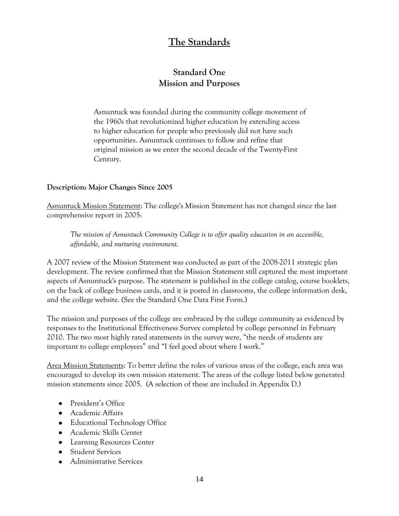## **The Standards**

## **Standard One Mission and Purposes**

Asnuntuck was founded during the community college movement of the 1960s that revolutionized higher education by extending access to higher education for people who previously did not have such opportunities. Asnuntuck continues to follow and refine that original mission as we enter the second decade of the Twenty-First Century.

#### **Description: Major Changes Since 2005**

Asnuntuck Mission Statement: The college's Mission Statement has not changed since the last comprehensive report in 2005:

*The mission of Asnuntuck Community College is to offer quality education in an accessible, affordable, and nurturing environment.*

A 2007 review of the Mission Statement was conducted as part of the 2008-2011 strategic plan development. The review confirmed that the Mission Statement still captured the most important aspects of Asnuntuck's purpose. The statement is published in the college catalog, course booklets, on the back of college business cards, and it is posted in classrooms, the college information desk, and the college website. (See the Standard One Data First Form.)

The mission and purposes of the college are embraced by the college community as evidenced by responses to the Institutional Effectiveness Survey completed by college personnel in February 2010. The two most highly rated statements in the survey were, "the needs of students are important to college employees" and "I feel good about where I work."

Area Mission Statements: To better define the roles of various areas of the college, each area was encouraged to develop its own mission statement. The areas of the college listed below generated mission statements since 2005. (A selection of these are included in Appendix D.)

- President's Office
- Academic Affairs
- Educational Technology Office
- Academic Skills Center
- Learning Resources Center
- Student Services
- **•** Administrative Services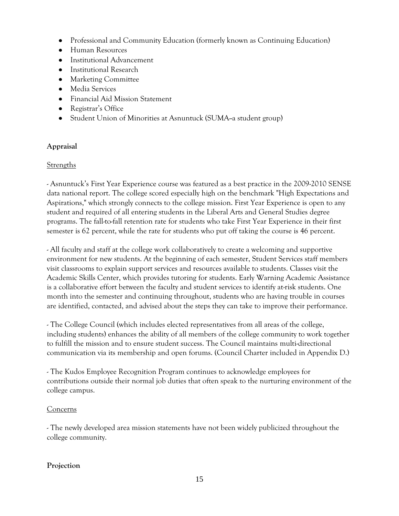- Professional and Community Education (formerly known as Continuing Education)
- Human Resources
- Institutional Advancement
- **•** Institutional Research
- Marketing Committee
- Media Services
- Financial Aid Mission Statement
- Registrar's Office
- Student Union of Minorities at Asnuntuck (SUMA-a student group)

#### **Appraisal**

#### Strengths

- Asnuntuck's First Year Experience course was featured as a best practice in the 2009-2010 SENSE data national report. The college scored especially high on the benchmark "High Expectations and Aspirations," which strongly connects to the college mission. First Year Experience is open to any student and required of all entering students in the Liberal Arts and General Studies degree programs. The fall-to-fall retention rate for students who take First Year Experience in their first semester is 62 percent, while the rate for students who put off taking the course is 46 percent.

- All faculty and staff at the college work collaboratively to create a welcoming and supportive environment for new students. At the beginning of each semester, Student Services staff members visit classrooms to explain support services and resources available to students. Classes visit the Academic Skills Center, which provides tutoring for students. Early Warning Academic Assistance is a collaborative effort between the faculty and student services to identify at-risk students. One month into the semester and continuing throughout, students who are having trouble in courses are identified, contacted, and advised about the steps they can take to improve their performance.

- The College Council (which includes elected representatives from all areas of the college, including students) enhances the ability of all members of the college community to work together to fulfill the mission and to ensure student success. The Council maintains multi-directional communication via its membership and open forums. (Council Charter included in Appendix D.)

- The Kudos Employee Recognition Program continues to acknowledge employees for contributions outside their normal job duties that often speak to the nurturing environment of the college campus.

#### Concerns

- The newly developed area mission statements have not been widely publicized throughout the college community.

#### **Projection**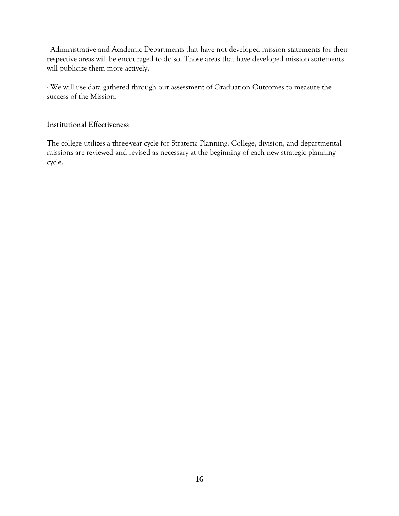- Administrative and Academic Departments that have not developed mission statements for their respective areas will be encouraged to do so. Those areas that have developed mission statements will publicize them more actively.

- We will use data gathered through our assessment of Graduation Outcomes to measure the success of the Mission.

#### **Institutional Effectiveness**

The college utilizes a three-year cycle for Strategic Planning. College, division, and departmental missions are reviewed and revised as necessary at the beginning of each new strategic planning cycle.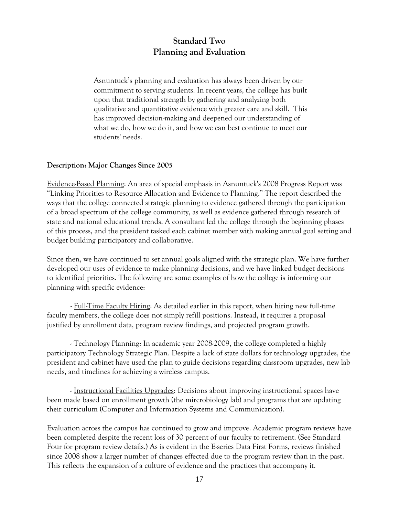## **Standard Two Planning and Evaluation**

Asnuntuck's planning and evaluation has always been driven by our commitment to serving students. In recent years, the college has built upon that traditional strength by gathering and analyzing both qualitative and quantitative evidence with greater care and skill. This has improved decision-making and deepened our understanding of what we do, how we do it, and how we can best continue to meet our students' needs.

#### **Description: Major Changes Since 2005**

Evidence-Based Planning: An area of special emphasis in Asnuntuck's 2008 Progress Report was "Linking Priorities to Resource Allocation and Evidence to Planning." The report described the ways that the college connected strategic planning to evidence gathered through the participation of a broad spectrum of the college community, as well as evidence gathered through research of state and national educational trends. A consultant led the college through the beginning phases of this process, and the president tasked each cabinet member with making annual goal setting and budget building participatory and collaborative.

Since then, we have continued to set annual goals aligned with the strategic plan. We have further developed our uses of evidence to make planning decisions, and we have linked budget decisions to identified priorities. The following are some examples of how the college is informing our planning with specific evidence:

- Full-Time Faculty Hiring: As detailed earlier in this report, when hiring new full-time faculty members, the college does not simply refill positions. Instead, it requires a proposal justified by enrollment data, program review findings, and projected program growth.

- Technology Planning: In academic year 2008-2009, the college completed a highly participatory Technology Strategic Plan. Despite a lack of state dollars for technology upgrades, the president and cabinet have used the plan to guide decisions regarding classroom upgrades, new lab needs, and timelines for achieving a wireless campus.

- Instructional Facilities Upgrades: Decisions about improving instructional spaces have been made based on enrollment growth (the mircrobiology lab) and programs that are updating their curriculum (Computer and Information Systems and Communication).

Evaluation across the campus has continued to grow and improve. Academic program reviews have been completed despite the recent loss of 30 percent of our faculty to retirement. (See Standard Four for program review details.) As is evident in the E-series Data First Forms, reviews finished since 2008 show a larger number of changes effected due to the program review than in the past. This reflects the expansion of a culture of evidence and the practices that accompany it.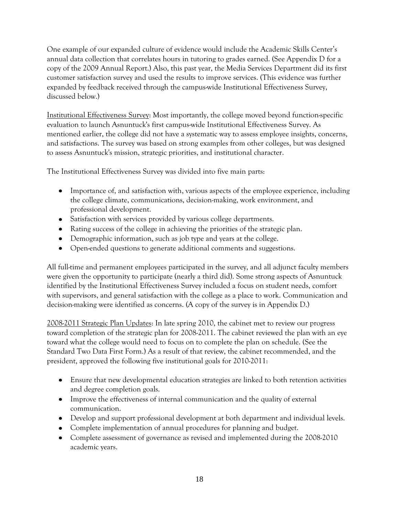One example of our expanded culture of evidence would include the Academic Skills Center's annual data collection that correlates hours in tutoring to grades earned. (See Appendix D for a copy of the 2009 Annual Report.) Also, this past year, the Media Services Department did its first customer satisfaction survey and used the results to improve services. (This evidence was further expanded by feedback received through the campus-wide Institutional Effectiveness Survey, discussed below.)

Institutional Effectiveness Survey: Most importantly, the college moved beyond function-specific evaluation to launch Asnuntuck's first campus-wide Institutional Effectiveness Survey. As mentioned earlier, the college did not have a systematic way to assess employee insights, concerns, and satisfactions. The survey was based on strong examples from other colleges, but was designed to assess Asnuntuck's mission, strategic priorities, and institutional character.

The Institutional Effectiveness Survey was divided into five main parts:

- Importance of, and satisfaction with, various aspects of the employee experience, including the college climate, communications, decision-making, work environment, and professional development.
- Satisfaction with services provided by various college departments.
- Rating success of the college in achieving the priorities of the strategic plan.
- Demographic information, such as job type and years at the college.
- Open-ended questions to generate additional comments and suggestions.

All full-time and permanent employees participated in the survey, and all adjunct faculty members were given the opportunity to participate (nearly a third did). Some strong aspects of Asnuntuck identified by the Institutional Effectiveness Survey included a focus on student needs, comfort with supervisors, and general satisfaction with the college as a place to work. Communication and decision-making were identified as concerns. (A copy of the survey is in Appendix D.)

2008-2011 Strategic Plan Updates: In late spring 2010, the cabinet met to review our progress toward completion of the strategic plan for 2008-2011. The cabinet reviewed the plan with an eye toward what the college would need to focus on to complete the plan on schedule. (See the Standard Two Data First Form.) As a result of that review, the cabinet recommended, and the president, approved the following five institutional goals for 2010-2011:

- Ensure that new developmental education strategies are linked to both retention activities and degree completion goals.
- Improve the effectiveness of internal communication and the quality of external communication.
- Develop and support professional development at both department and individual levels.
- Complete implementation of annual procedures for planning and budget.
- Complete assessment of governance as revised and implemented during the 2008-2010 academic years.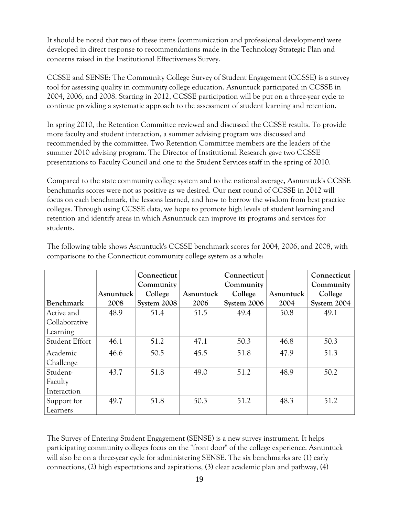It should be noted that two of these items (communication and professional development) were developed in direct response to recommendations made in the Technology Strategic Plan and concerns raised in the Institutional Effectiveness Survey.

CCSSE and SENSE: The Community College Survey of Student Engagement (CCSSE) is a survey tool for assessing quality in community college education. Asnuntuck participated in CCSSE in 2004, 2006, and 2008. Starting in 2012, CCSSE participation will be put on a three-year cycle to continue providing a systematic approach to the assessment of student learning and retention.

In spring 2010, the Retention Committee reviewed and discussed the CCSSE results. To provide more faculty and student interaction, a summer advising program was discussed and recommended by the committee. Two Retention Committee members are the leaders of the summer 2010 advising program. The Director of Institutional Research gave two CCSSE presentations to Faculty Council and one to the Student Services staff in the spring of 2010.

Compared to the state community college system and to the national average, Asnuntuck's CCSSE benchmarks scores were not as positive as we desired. Our next round of CCSSE in 2012 will focus on each benchmark, the lessons learned, and how to borrow the wisdom from best practice colleges. Through using CCSSE data, we hope to promote high levels of student learning and retention and identify areas in which Asnuntuck can improve its programs and services for students.

|                  |           | Connecticut |           | Connecticut |           | Connecticut |
|------------------|-----------|-------------|-----------|-------------|-----------|-------------|
|                  |           | Community   |           | Community   |           | Community   |
|                  | Asnuntuck | College     | Asnuntuck | College     | Asnuntuck | College     |
| <b>Benchmark</b> | 2008      | System 2008 | 2006      | System 2006 | 2004      | System 2004 |
| Active and       | 48.9      | 51.4        | 51.5      | 49.4        | 50.8      | 49.1        |
| Collaborative    |           |             |           |             |           |             |
| Learning         |           |             |           |             |           |             |
| Student Effort   | 46.1      | 51.2        | 47.1      | 50.3        | 46.8      | 50.3        |
| Academic         | 46.6      | 50.5        | 45.5      | 51.8        | 47.9      | 51.3        |
| Challenge        |           |             |           |             |           |             |
| Student-         | 43.7      | 51.8        | 49.0      | 51.2        | 48.9      | 50.2        |
| Faculty          |           |             |           |             |           |             |
| Interaction      |           |             |           |             |           |             |
| Support for      | 49.7      | 51.8        | 50.3      | 51.2        | 48.3      | 51.2        |
| Learners         |           |             |           |             |           |             |

The following table shows Asnuntuck's CCSSE benchmark scores for 2004, 2006, and 2008, with comparisons to the Connecticut community college system as a whole:

The Survey of Entering Student Engagement (SENSE) is a new survey instrument. It helps participating community colleges focus on the "front door" of the college experience. Asnuntuck will also be on a three-year cycle for administering SENSE*.* The six benchmarks are (1) early connections, (2) high expectations and aspirations, (3) clear academic plan and pathway, (4)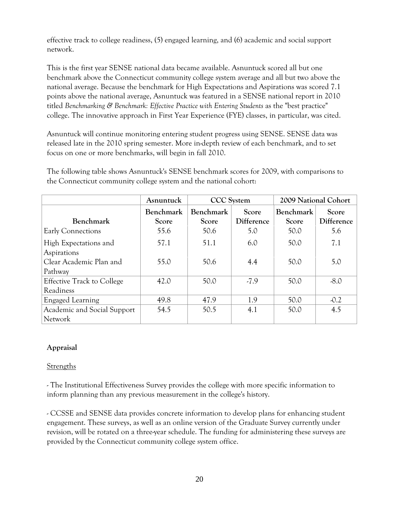effective track to college readiness, (5) engaged learning, and (6) academic and social support network.

This is the first year SENSE national data became available. Asnuntuck scored all but one benchmark above the Connecticut community college system average and all but two above the national average. Because the benchmark for High Expectations and Aspirations was scored 7.1 points above the national average, Asnuntuck was featured in a SENSE national report in 2010 titled *Benchmarking & Benchmark: Effective Practice with Entering Students* as the "best practice" college. The innovative approach in First Year Experience (FYE) classes, in particular, was cited.

Asnuntuck will continue monitoring entering student progress using SENSE. SENSE data was released late in the 2010 spring semester. More in-depth review of each benchmark, and to set focus on one or more benchmarks, will begin in fall 2010.

The following table shows Asnuntuck's SENSE benchmark scores for 2009, with comparisons to the Connecticut community college system and the national cohort:

|                                                | Asnuntuck                 | <b>CCC</b> System  |                     | 2009 National Cohort      |                     |
|------------------------------------------------|---------------------------|--------------------|---------------------|---------------------------|---------------------|
| <b>Benchmark</b>                               | <b>Benchmark</b><br>Score | Benchmark<br>Score | Score<br>Difference | <b>Benchmark</b><br>Score | Score<br>Difference |
| Early Connections                              | 55.6                      | 50.6               | 5.0                 | 50.0                      | 5.6                 |
| High Expectations and<br>Aspirations           | 57.1                      | 51.1               | 6.0                 | 50.0                      | 7.1                 |
| Clear Academic Plan and<br>Pathway             | 55.0                      | 50.6               | 4.4                 | 50.0                      | 5.0                 |
| <b>Effective Track to College</b><br>Readiness | 42.0                      | 50.0               | $-7.9$              | 50.0                      | $-8.0$              |
| <b>Engaged Learning</b>                        | 49.8                      | 47.9               | 1.9                 | 50.0                      | $-0.2$              |
| Academic and Social Support<br><b>Network</b>  | 54.5                      | 50.5               | 4.1                 | 50.0                      | 4.5                 |

#### **Appraisal**

#### Strengths

- The Institutional Effectiveness Survey provides the college with more specific information to inform planning than any previous measurement in the college's history.

- CCSSE and SENSE data provides concrete information to develop plans for enhancing student engagement. These surveys, as well as an online version of the Graduate Survey currently under revision, will be rotated on a three-year schedule. The funding for administering these surveys are provided by the Connecticut community college system office.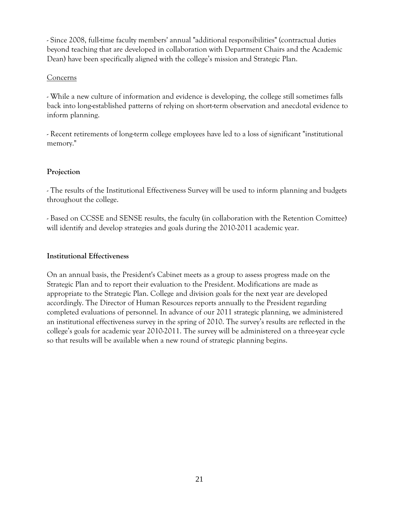- Since 2008, full-time faculty members' annual "additional responsibilities" (contractual duties beyond teaching that are developed in collaboration with Department Chairs and the Academic Dean) have been specifically aligned with the college's mission and Strategic Plan.

#### Concerns

- While a new culture of information and evidence is developing, the college still sometimes falls back into long-established patterns of relying on short-term observation and anecdotal evidence to inform planning.

- Recent retirements of long-term college employees have led to a loss of significant "institutional memory."

#### **Projection**

- The results of the Institutional Effectiveness Survey will be used to inform planning and budgets throughout the college.

- Based on CCSSE and SENSE results, the faculty (in collaboration with the Retention Comittee) will identify and develop strategies and goals during the 2010-2011 academic year.

#### **Institutional Effectiveness**

On an annual basis, the President's Cabinet meets as a group to assess progress made on the Strategic Plan and to report their evaluation to the President. Modifications are made as appropriate to the Strategic Plan. College and division goals for the next year are developed accordingly. The Director of Human Resources reports annually to the President regarding completed evaluations of personnel. In advance of our 2011 strategic planning, we administered an institutional effectiveness survey in the spring of 2010. The survey's results are reflected in the college's goals for academic year 2010-2011. The survey will be administered on a three-year cycle so that results will be available when a new round of strategic planning begins.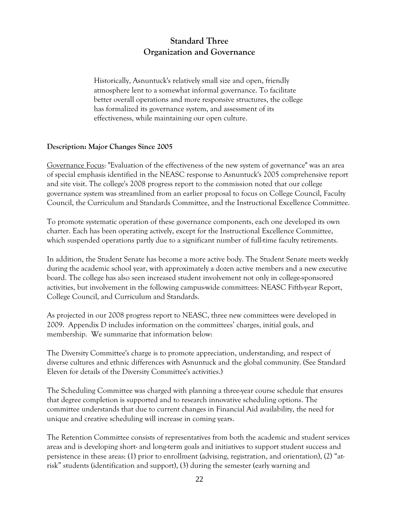## **Standard Three Organization and Governance**

Historically, Asnuntuck's relatively small size and open, friendly atmosphere lent to a somewhat informal governance. To facilitate better overall operations and more responsive structures, the college has formalized its governance system, and assessment of its effectiveness, while maintaining our open culture.

#### **Description: Major Changes Since 2005**

Governance Focus: "Evaluation of the effectiveness of the new system of governance" was an area of special emphasis identified in the NEASC response to Asnuntuck's 2005 comprehensive report and site visit. The college's 2008 progress report to the commission noted that our college governance system was streamlined from an earlier proposal to focus on College Council, Faculty Council, the Curriculum and Standards Committee, and the Instructional Excellence Committee.

To promote systematic operation of these governance components, each one developed its own charter. Each has been operating actively, except for the Instructional Excellence Committee, which suspended operations partly due to a significant number of full-time faculty retirements.

In addition, the Student Senate has become a more active body. The Student Senate meets weekly during the academic school year, with approximately a dozen active members and a new executive board. The college has also seen increased student involvement not only in college-sponsored activities, but involvement in the following campus-wide committees: NEASC Fifth-year Report, College Council, and Curriculum and Standards.

As projected in our 2008 progress report to NEASC, three new committees were developed in 2009. Appendix D includes information on the committees' charges, initial goals, and membership. We summarize that information below:

The Diversity Committee's charge is to promote appreciation, understanding, and respect of diverse cultures and ethnic differences with Asnuntuck and the global community. (See Standard Eleven for details of the Diversity Committee's activities.)

The Scheduling Committee was charged with planning a three-year course schedule that ensures that degree completion is supported and to research innovative scheduling options. The committee understands that due to current changes in Financial Aid availability, the need for unique and creative scheduling will increase in coming years.

The Retention Committee consists of representatives from both the academic and student services areas and is developing short- and long-term goals and initiatives to support student success and persistence in these areas: (1) prior to enrollment (advising, registration, and orientation), (2) "atrisk" students (identification and support), (3) during the semester (early warning and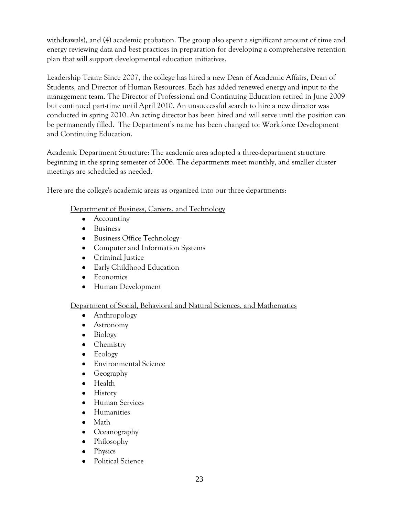withdrawals), and (4) academic probation. The group also spent a significant amount of time and energy reviewing data and best practices in preparation for developing a comprehensive retention plan that will support developmental education initiatives.

Leadership Team: Since 2007, the college has hired a new Dean of Academic Affairs, Dean of Students, and Director of Human Resources. Each has added renewed energy and input to the management team. The Director of Professional and Continuing Education retired in June 2009 but continued part-time until April 2010. An unsuccessful search to hire a new director was conducted in spring 2010. An acting director has been hired and will serve until the position can be permanently filled. The Department's name has been changed to: Workforce Development and Continuing Education.

Academic Department Structure: The academic area adopted a three-department structure beginning in the spring semester of 2006. The departments meet monthly, and smaller cluster meetings are scheduled as needed.

Here are the college's academic areas as organized into our three departments:

#### Department of Business, Careers, and Technology

- Accounting
- Business
- Business Office Technology
- Computer and Information Systems
- Criminal Justice
- Early Childhood Education
- Economics
- Human Development

#### Department of Social, Behavioral and Natural Sciences, and Mathematics

- Anthropology
- Astronomy
- Biology
- Chemistry
- Ecology
- Environmental Science
- Geography  $\bullet$
- Health
- History
- Human Services  $\bullet$
- **•** Humanities
- Math
- Oceanography
- Philosophy
- Physics
- Political Science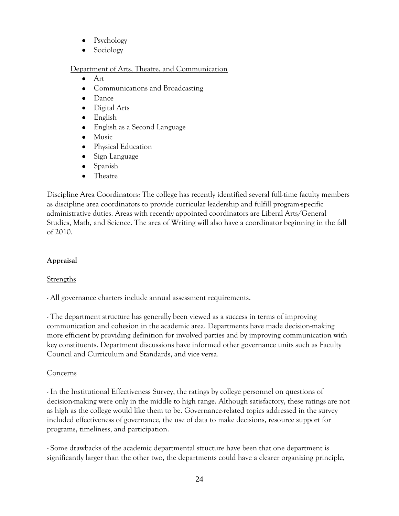- Psychology
- Sociology

#### Department of Arts, Theatre, and Communication

- $\bullet$ Art
- Communications and Broadcasting
- Dance
- Digital Arts
- English
- $\bullet$ English as a Second Language
- $\bullet$ Music
- Physical Education  $\bullet$
- $\bullet$ Sign Language
- Spanish  $\bullet$
- Theatre  $\bullet$

Discipline Area Coordinators: The college has recently identified several full-time faculty members as discipline area coordinators to provide curricular leadership and fulfill program-specific administrative duties. Areas with recently appointed coordinators are Liberal Arts/General Studies, Math, and Science. The area of Writing will also have a coordinator beginning in the fall of 2010.

## **Appraisal**

## **Strengths**

- All governance charters include annual assessment requirements.

- The department structure has generally been viewed as a success in terms of improving communication and cohesion in the academic area. Departments have made decision-making more efficient by providing definition for involved parties and by improving communication with key constituents. Department discussions have informed other governance units such as Faculty Council and Curriculum and Standards, and vice versa.

## Concerns

- In the Institutional Effectiveness Survey, the ratings by college personnel on questions of decision-making were only in the middle to high range. Although satisfactory, these ratings are not as high as the college would like them to be. Governance-related topics addressed in the survey included effectiveness of governance, the use of data to make decisions, resource support for programs, timeliness, and participation.

- Some drawbacks of the academic departmental structure have been that one department is significantly larger than the other two, the departments could have a clearer organizing principle,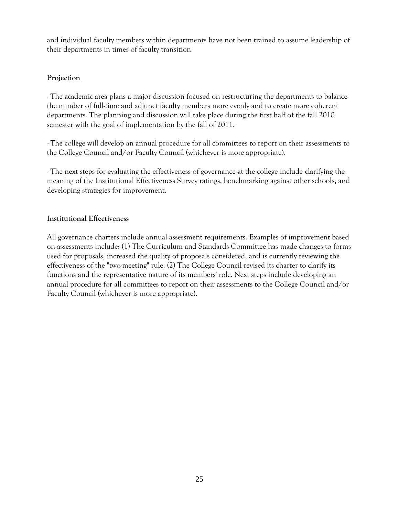and individual faculty members within departments have not been trained to assume leadership of their departments in times of faculty transition.

#### **Projection**

- The academic area plans a major discussion focused on restructuring the departments to balance the number of full-time and adjunct faculty members more evenly and to create more coherent departments. The planning and discussion will take place during the first half of the fall 2010 semester with the goal of implementation by the fall of 2011.

- The college will develop an annual procedure for all committees to report on their assessments to the College Council and/or Faculty Council (whichever is more appropriate).

- The next steps for evaluating the effectiveness of governance at the college include clarifying the meaning of the Institutional Effectiveness Survey ratings, benchmarking against other schools, and developing strategies for improvement.

#### **Institutional Effectiveness**

All governance charters include annual assessment requirements. Examples of improvement based on assessments include: (1) The Curriculum and Standards Committee has made changes to forms used for proposals, increased the quality of proposals considered, and is currently reviewing the effectiveness of the "two-meeting" rule. (2) The College Council revised its charter to clarify its functions and the representative nature of its members' role. Next steps include developing an annual procedure for all committees to report on their assessments to the College Council and/or Faculty Council (whichever is more appropriate).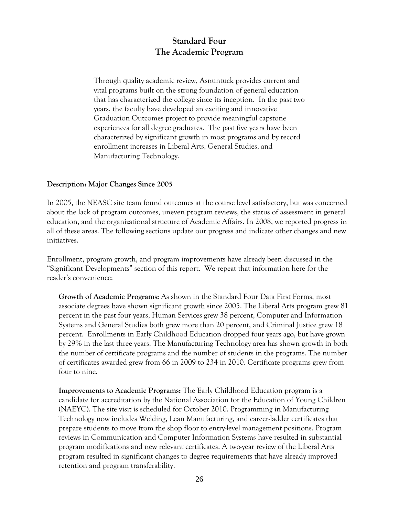## **Standard Four The Academic Program**

Through quality academic review, Asnuntuck provides current and vital programs built on the strong foundation of general education that has characterized the college since its inception. In the past two years, the faculty have developed an exciting and innovative Graduation Outcomes project to provide meaningful capstone experiences for all degree graduates. The past five years have been characterized by significant growth in most programs and by record enrollment increases in Liberal Arts, General Studies, and Manufacturing Technology.

#### **Description: Major Changes Since 2005**

In 2005, the NEASC site team found outcomes at the course level satisfactory, but was concerned about the lack of program outcomes, uneven program reviews, the status of assessment in general education, and the organizational structure of Academic Affairs. In 2008, we reported progress in all of these areas. The following sections update our progress and indicate other changes and new initiatives.

Enrollment, program growth, and program improvements have already been discussed in the "Significant Developments" section of this report. We repeat that information here for the reader's convenience:

**Growth of Academic Programs:** As shown in the Standard Four Data First Forms, most associate degrees have shown significant growth since 2005. The Liberal Arts program grew 81 percent in the past four years, Human Services grew 38 percent, Computer and Information Systems and General Studies both grew more than 20 percent, and Criminal Justice grew 18 percent. Enrollments in Early Childhood Education dropped four years ago, but have grown by 29% in the last three years. The Manufacturing Technology area has shown growth in both the number of certificate programs and the number of students in the programs. The number of certificates awarded grew from 66 in 2009 to 234 in 2010. Certificate programs grew from four to nine.

**Improvements to Academic Programs:** The Early Childhood Education program is a candidate for accreditation by the National Association for the Education of Young Children (NAEYC). The site visit is scheduled for October 2010. Programming in Manufacturing Technology now includes Welding, Lean Manufacturing, and career-ladder certificates that prepare students to move from the shop floor to entry-level management positions. Program reviews in Communication and Computer Information Systems have resulted in substantial program modifications and new relevant certificates. A two-year review of the Liberal Arts program resulted in significant changes to degree requirements that have already improved retention and program transferability.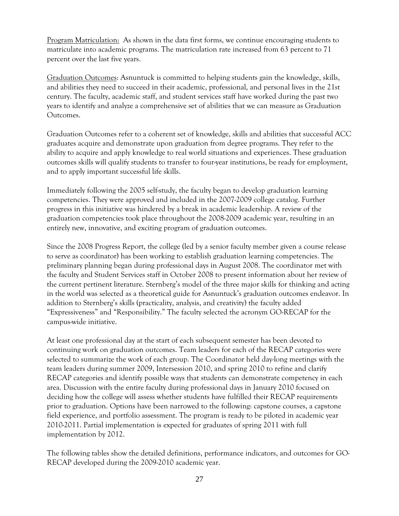Program Matriculation: As shown in the data first forms, we continue encouraging students to matriculate into academic programs. The matriculation rate increased from 63 percent to 71 percent over the last five years.

Graduation Outcomes: Asnuntuck is committed to helping students gain the knowledge, skills, and abilities they need to succeed in their academic, professional, and personal lives in the 21st century. The faculty, academic staff, and student services staff have worked during the past two years to identify and analyze a comprehensive set of abilities that we can measure as Graduation Outcomes.

Graduation Outcomes refer to a coherent set of knowledge, skills and abilities that successful ACC graduates acquire and demonstrate upon graduation from degree programs. They refer to the ability to acquire and apply knowledge to real world situations and experiences. These graduation outcomes skills will qualify students to transfer to four-year institutions, be ready for employment, and to apply important successful life skills.

Immediately following the 2005 self-study, the faculty began to develop graduation learning competencies. They were approved and included in the 2007-2009 college catalog. Further progress in this initiative was hindered by a break in academic leadership. A review of the graduation competencies took place throughout the 2008-2009 academic year, resulting in an entirely new, innovative, and exciting program of graduation outcomes.

Since the 2008 Progress Report, the college (led by a senior faculty member given a course release to serve as coordinator) has been working to establish graduation learning competencies. The preliminary planning began during professional days in August 2008. The coordinator met with the faculty and Student Services staff in October 2008 to present information about her review of the current pertinent literature. Sternberg's model of the three major skills for thinking and acting in the world was selected as a theoretical guide for Asnuntuck's graduation outcomes endeavor. In addition to Sternberg's skills (practicality, analysis, and creativity) the faculty added "Expressiveness" and "Responsibility." The faculty selected the acronym GO-RECAP for the campus-wide initiative.

At least one professional day at the start of each subsequent semester has been devoted to continuing work on graduation outcomes. Team leaders for each of the RECAP categories were selected to summarize the work of each group. The Coordinator held day-long meetings with the team leaders during summer 2009, Intersession 2010, and spring 2010 to refine and clarify RECAP categories and identify possible ways that students can demonstrate competency in each area. Discussion with the entire faculty during professional days in January 2010 focused on deciding how the college will assess whether students have fulfilled their RECAP requirements prior to graduation. Options have been narrowed to the following: capstone courses, a capstone field experience, and portfolio assessment. The program is ready to be piloted in academic year 2010-2011. Partial implementation is expected for graduates of spring 2011 with full implementation by 2012.

The following tables show the detailed definitions, performance indicators, and outcomes for GO-RECAP developed during the 2009-2010 academic year.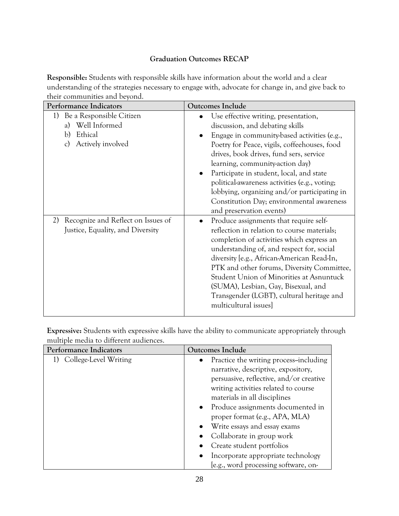#### **Graduation Outcomes RECAP**

**Responsible:** Students with responsible skills have information about the world and a clear understanding of the strategies necessary to engage with, advocate for change in, and give back to their communities and beyond.

| Performance Indicators                                                                                    | <b>Outcomes Include</b>                                                                                                                                                                                                                                                                                                                                                                                                                                                    |
|-----------------------------------------------------------------------------------------------------------|----------------------------------------------------------------------------------------------------------------------------------------------------------------------------------------------------------------------------------------------------------------------------------------------------------------------------------------------------------------------------------------------------------------------------------------------------------------------------|
| 1) Be a Responsible Citizen<br>Well Informed<br>a)<br>Ethical<br>b)<br>Actively involved<br>$\mathcal{C}$ | Use effective writing, presentation,<br>discussion, and debating skills<br>Engage in community-based activities (e.g.,<br>Poetry for Peace, vigils, coffeehouses, food<br>drives, book drives, fund sers, service<br>learning, community-action day)<br>Participate in student, local, and state<br>political-awareness activities (e.g., voting;<br>lobbying, organizing and/or participating in<br>Constitution Day; environmental awareness<br>and preservation events) |
| Recognize and Reflect on Issues of<br>2)<br>Justice, Equality, and Diversity                              | Produce assignments that require self-<br>reflection in relation to course materials;<br>completion of activities which express an<br>understanding of, and respect for, social<br>diversity [e.g., African-American Read-In,<br>PTK and other forums, Diversity Committee,<br>Student Union of Minorities at Asnuntuck<br>(SUMA), Lesbian, Gay, Bisexual, and<br>Transgender (LGBT), cultural heritage and<br>multicultural issues]                                       |

**Expressive:** Students with expressive skills have the ability to communicate appropriately through multiple media to different audiences.

| Performance Indicators   | <b>Outcomes Include</b>                             |
|--------------------------|-----------------------------------------------------|
| 1) College-Level Writing | Practice the writing process-including<br>$\bullet$ |
|                          | narrative, descriptive, expository,                 |
|                          | persuasive, reflective, and/or creative             |
|                          | writing activities related to course                |
|                          | materials in all disciplines                        |
|                          | • Produce assignments documented in                 |
|                          | proper format (e.g., APA, MLA)                      |
|                          | • Write essays and essay exams                      |
|                          | • Collaborate in group work                         |
|                          | Create student portfolios                           |
|                          | Incorporate appropriate technology                  |
|                          | [e.g., word processing software, on-                |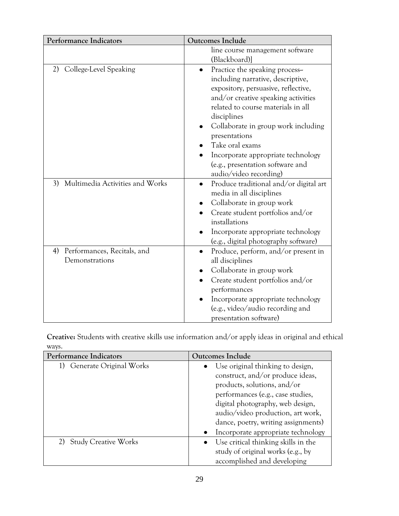| <b>Performance Indicators</b>                    | Outcomes Include                                                                                                                                                                                                                                                                                                                                                                                   |
|--------------------------------------------------|----------------------------------------------------------------------------------------------------------------------------------------------------------------------------------------------------------------------------------------------------------------------------------------------------------------------------------------------------------------------------------------------------|
|                                                  | line course management software<br>(Blackboard)]                                                                                                                                                                                                                                                                                                                                                   |
| 2) College-Level Speaking                        | Practice the speaking process-<br>$\bullet$<br>including narrative, descriptive,<br>expository, persuasive, reflective,<br>and/or creative speaking activities<br>related to course materials in all<br>disciplines<br>Collaborate in group work including<br>presentations<br>Take oral exams<br>Incorporate appropriate technology<br>(e.g., presentation software and<br>audio/video recording) |
| Multimedia Activities and Works<br>3)            | Produce traditional and/or digital art<br>$\bullet$<br>media in all disciplines<br>Collaborate in group work<br>٠<br>Create student portfolios and/or<br>installations<br>Incorporate appropriate technology<br>(e.g., digital photography software)                                                                                                                                               |
| 4) Performances, Recitals, and<br>Demonstrations | Produce, perform, and/or present in<br>$\bullet$<br>all disciplines<br>Collaborate in group work<br>Create student portfolios and/or<br>$\bullet$<br>performances<br>Incorporate appropriate technology<br>(e.g., video/audio recording and<br>presentation software)                                                                                                                              |

**Creative:** Students with creative skills use information and/or apply ideas in original and ethical ways.

| Performance Indicators        | <b>Outcomes Include</b>             |
|-------------------------------|-------------------------------------|
| Generate Original Works<br>1) | Use original thinking to design,    |
|                               | construct, and/or produce ideas,    |
|                               | products, solutions, and/or         |
|                               | performances (e.g., case studies,   |
|                               | digital photography, web design,    |
|                               | audio/video production, art work,   |
|                               | dance, poetry, writing assignments) |
|                               | Incorporate appropriate technology  |
| 2) Study Creative Works       | Use critical thinking skills in the |
|                               | study of original works (e.g., by   |
|                               | accomplished and developing         |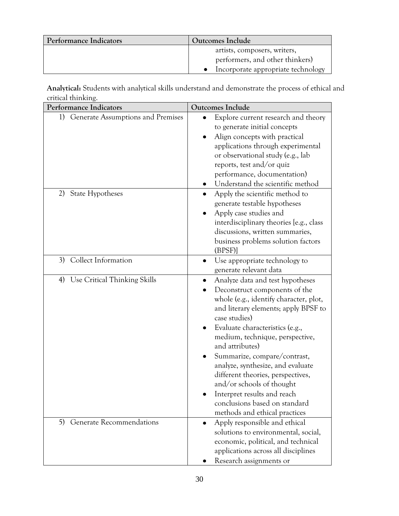| Performance Indicators | Outcomes Include                   |
|------------------------|------------------------------------|
|                        | artists, composers, writers,       |
|                        | performers, and other thinkers)    |
|                        | Incorporate appropriate technology |

**Analytical:** Students with analytical skills understand and demonstrate the process of ethical and critical thinking.

| Performance Indicators                  | <b>Outcomes Include</b>                                                                                                                                                                                                                                                                                                                                                                                                                                                                               |
|-----------------------------------------|-------------------------------------------------------------------------------------------------------------------------------------------------------------------------------------------------------------------------------------------------------------------------------------------------------------------------------------------------------------------------------------------------------------------------------------------------------------------------------------------------------|
| Generate Assumptions and Premises<br>1) | Explore current research and theory<br>to generate initial concepts<br>Align concepts with practical<br>applications through experimental<br>or observational study (e.g., lab<br>reports, test and/or quiz<br>performance, documentation)<br>Understand the scientific method                                                                                                                                                                                                                        |
| <b>State Hypotheses</b><br>2)           | Apply the scientific method to<br>generate testable hypotheses<br>Apply case studies and<br>interdisciplinary theories [e.g., class<br>discussions, written summaries,<br>business problems solution factors<br>(BPSF)                                                                                                                                                                                                                                                                                |
| Collect Information<br>3)               | Use appropriate technology to<br>$\bullet$<br>generate relevant data                                                                                                                                                                                                                                                                                                                                                                                                                                  |
| 4) Use Critical Thinking Skills         | Analyze data and test hypotheses<br>Deconstruct components of the<br>whole (e.g., identify character, plot,<br>and literary elements; apply BPSF to<br>case studies)<br>Evaluate characteristics (e.g.,<br>medium, technique, perspective,<br>and attributes)<br>Summarize, compare/contrast,<br>analyze, synthesize, and evaluate<br>different theories, perspectives,<br>and/or schools of thought<br>Interpret results and reach<br>conclusions based on standard<br>methods and ethical practices |
| <b>Generate Recommendations</b><br>5)   | Apply responsible and ethical<br>٠<br>solutions to environmental, social,<br>economic, political, and technical<br>applications across all disciplines<br>Research assignments or                                                                                                                                                                                                                                                                                                                     |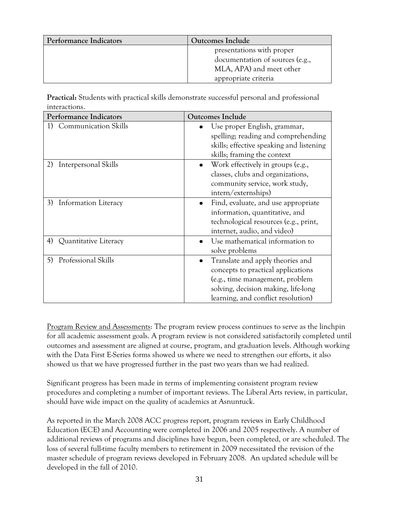| Performance Indicators | Outcomes Include                |
|------------------------|---------------------------------|
|                        | presentations with proper       |
|                        | documentation of sources (e.g., |
|                        | MLA, APA) and meet other        |
|                        | appropriate criteria            |

**Practical:** Students with practical skills demonstrate successful personal and professional interactions.

| Performance Indicators            | <b>Outcomes Include</b>                                                                                                                                                                |
|-----------------------------------|----------------------------------------------------------------------------------------------------------------------------------------------------------------------------------------|
| Communication Skills              | Use proper English, grammar,<br>spelling; reading and comprehending<br>skills; effective speaking and listening<br>skills; framing the context                                         |
| 2)<br>Interpersonal Skills        | Work effectively in groups (e.g.,<br>classes, clubs and organizations,<br>community service, work study,<br>intern/externships)                                                        |
| <b>Information Literacy</b><br>3) | Find, evaluate, and use appropriate<br>information, quantitative, and<br>technological resources (e.g., print,<br>internet, audio, and video)                                          |
| Quantitative Literacy<br>4)       | Use mathematical information to<br>solve problems                                                                                                                                      |
| Professional Skills<br>5)         | Translate and apply theories and<br>concepts to practical applications<br>(e.g., time management, problem<br>solving, decision making, life-long<br>learning, and conflict resolution) |

Program Review and Assessments: The program review process continues to serve as the linchpin for all academic assessment goals. A program review is not considered satisfactorily completed until outcomes and assessment are aligned at course, program, and graduation levels. Although working with the Data First E-Series forms showed us where we need to strengthen our efforts, it also showed us that we have progressed further in the past two years than we had realized.

Significant progress has been made in terms of implementing consistent program review procedures and completing a number of important reviews. The Liberal Arts review, in particular, should have wide impact on the quality of academics at Asnuntuck.

As reported in the March 2008 ACC progress report, program reviews in Early Childhood Education (ECE) and Accounting were completed in 2006 and 2005 respectively. A number of additional reviews of programs and disciplines have begun, been completed, or are scheduled. The loss of several full-time faculty members to retirement in 2009 necessitated the revision of the master schedule of program reviews developed in February 2008. An updated schedule will be developed in the fall of 2010.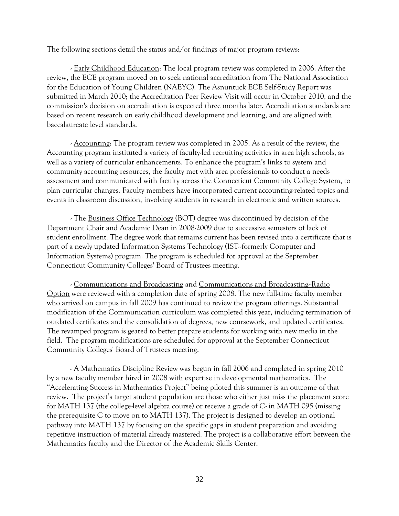The following sections detail the status and/or findings of major program reviews:

- Early Childhood Education: The local program review was completed in 2006. After the review, the ECE program moved on to seek national accreditation from The National Association for the Education of Young Children (NAEYC). The Asnuntuck ECE Self-Study Report was submitted in March 2010; the Accreditation Peer Review Visit will occur in October 2010, and the commission's decision on accreditation is expected three months later. Accreditation standards are based on recent research on early childhood development and learning, and are aligned with baccalaureate level standards.

- Accounting: The program review was completed in 2005. As a result of the review, the Accounting program instituted a variety of faculty-led recruiting activities in area high schools, as well as a variety of curricular enhancements. To enhance the program's links to system and community accounting resources, the faculty met with area professionals to conduct a needs assessment and communicated with faculty across the Connecticut Community College System, to plan curricular changes. Faculty members have incorporated current accounting-related topics and events in classroom discussion, involving students in research in electronic and written sources.

- The Business Office Technology (BOT) degree was discontinued by decision of the Department Chair and Academic Dean in 2008-2009 due to successive semesters of lack of student enrollment. The degree work that remains current has been revised into a certificate that is part of a newly updated Information Systems Technology (IST--formerly Computer and Information Systems) program. The program is scheduled for approval at the September Connecticut Community Colleges' Board of Trustees meeting.

- Communications and Broadcasting and Communications and Broadcasting--Radio Option were reviewed with a completion date of spring 2008. The new full-time faculty member who arrived on campus in fall 2009 has continued to review the program offerings. Substantial modification of the Communication curriculum was completed this year, including termination of outdated certificates and the consolidation of degrees, new coursework, and updated certificates. The revamped program is geared to better prepare students for working with new media in the field. The program modifications are scheduled for approval at the September Connecticut Community Colleges' Board of Trustees meeting.

- A Mathematics Discipline Review was begun in fall 2006 and completed in spring 2010 by a new faculty member hired in 2008 with expertise in developmental mathematics. The "Accelerating Success in Mathematics Project" being piloted this summer is an outcome of that review. The project's target student population are those who either just miss the placement score for MATH 137 (the college-level algebra course) or receive a grade of C- in MATH 095 (missing the prerequisite C to move on to MATH 137). The project is designed to develop an optional pathway into MATH 137 by focusing on the specific gaps in student preparation and avoiding repetitive instruction of material already mastered. The project is a collaborative effort between the Mathematics faculty and the Director of the Academic Skills Center.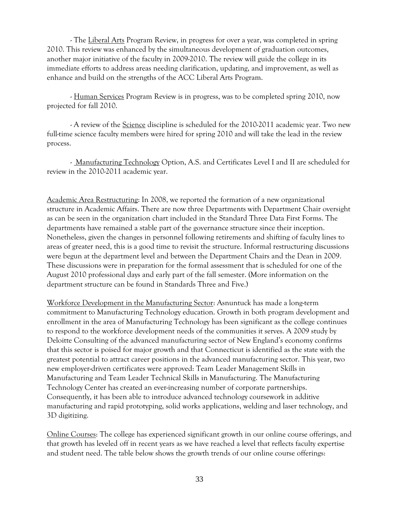- The Liberal Arts Program Review, in progress for over a year, was completed in spring 2010. This review was enhanced by the simultaneous development of graduation outcomes, another major initiative of the faculty in 2009-2010. The review will guide the college in its immediate efforts to address areas needing clarification, updating, and improvement, as well as enhance and build on the strengths of the ACC Liberal Arts Program.

- Human Services Program Review is in progress, was to be completed spring 2010, now projected for fall 2010.

- A review of the Science discipline is scheduled for the 2010-2011 academic year. Two new full-time science faculty members were hired for spring 2010 and will take the lead in the review process.

- Manufacturing Technology Option, A.S. and Certificates Level I and II are scheduled for review in the 2010-2011 academic year.

Academic Area Restructuring: In 2008, we reported the formation of a new organizational structure in Academic Affairs. There are now three Departments with Department Chair oversight as can be seen in the organization chart included in the Standard Three Data First Forms. The departments have remained a stable part of the governance structure since their inception. Nonetheless, given the changes in personnel following retirements and shifting of faculty lines to areas of greater need, this is a good time to revisit the structure. Informal restructuring discussions were begun at the department level and between the Department Chairs and the Dean in 2009. These discussions were in preparation for the formal assessment that is scheduled for one of the August 2010 professional days and early part of the fall semester. (More information on the department structure can be found in Standards Three and Five.)

Workforce Development in the Manufacturing Sector: Asnuntuck has made a long-term commitment to Manufacturing Technology education. Growth in both program development and enrollment in the area of Manufacturing Technology has been significant as the college continues to respond to the workforce development needs of the communities it serves. A 2009 study by Deloitte Consulting of the advanced manufacturing sector of New England's economy confirms that this sector is poised for major growth and that Connecticut is identified as the state with the greatest potential to attract career positions in the advanced manufacturing sector. This year, two new employer-driven certificates were approved: Team Leader Management Skills in Manufacturing and Team Leader Technical Skills in Manufacturing. The Manufacturing Technology Center has created an ever-increasing number of corporate partnerships. Consequently, it has been able to introduce advanced technology coursework in additive manufacturing and rapid prototyping, solid works applications, welding and laser technology, and 3D digitizing.

Online Courses: The college has experienced significant growth in our online course offerings, and that growth has leveled off in recent years as we have reached a level that reflects faculty expertise and student need. The table below shows the growth trends of our online course offerings: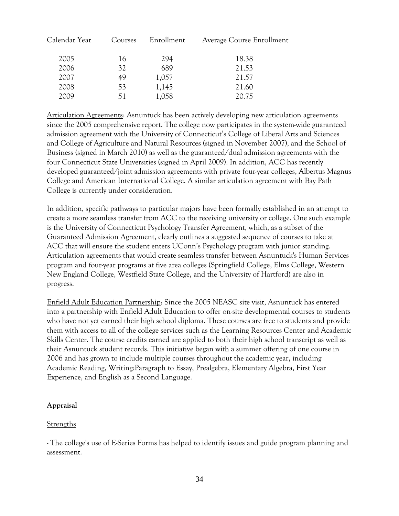| Calendar Year | Courses | Enrollment | Average Course Enrollment |
|---------------|---------|------------|---------------------------|
| 2005          | 16      | 294        | 18.38                     |
| 2006          | 32      | 689        | 21.53                     |
| 2007          | 49      | 1,057      | 21.57                     |
| 2008          | 53      | 1,145      | 21.60                     |
| 2009          | 51      | 1,058      | 20.75                     |
|               |         |            |                           |

Articulation Agreements: Asnuntuck has been actively developing new articulation agreements since the 2005 comprehensive report. The college now participates in the system-wide guaranteed admission agreement with the University of Connecticut's College of Liberal Arts and Sciences and College of Agriculture and Natural Resources (signed in November 2007), and the School of Business (signed in March 2010) as well as the guaranteed/dual admission agreements with the four Connecticut State Universities (signed in April 2009). In addition, ACC has recently developed guaranteed/joint admission agreements with private four-year colleges, Albertus Magnus College and American International College. A similar articulation agreement with Bay Path College is currently under consideration.

In addition, specific pathways to particular majors have been formally established in an attempt to create a more seamless transfer from ACC to the receiving university or college. One such example is the University of Connecticut Psychology Transfer Agreement, which, as a subset of the Guaranteed Admission Agreement, clearly outlines a suggested sequence of courses to take at ACC that will ensure the student enters UConn's Psychology program with junior standing. Articulation agreements that would create seamless transfer between Asnuntuck's Human Services program and four-year programs at five area colleges (Springfield College, Elms College, Western New England College, Westfield State College, and the University of Hartford) are also in progress.

Enfield Adult Education Partnership: Since the 2005 NEASC site visit, Asnuntuck has entered into a partnership with Enfield Adult Education to offer on-site developmental courses to students who have not yet earned their high school diploma. These courses are free to students and provide them with access to all of the college services such as the Learning Resources Center and Academic Skills Center. The course credits earned are applied to both their high school transcript as well as their Asnuntuck student records. This initiative began with a summer offering of one course in 2006 and has grown to include multiple courses throughout the academic year, including Academic Reading, Writing:Paragraph to Essay, Prealgebra, Elementary Algebra, First Year Experience, and English as a Second Language.

#### **Appraisal**

#### Strengths

- The college's use of E-Series Forms has helped to identify issues and guide program planning and assessment.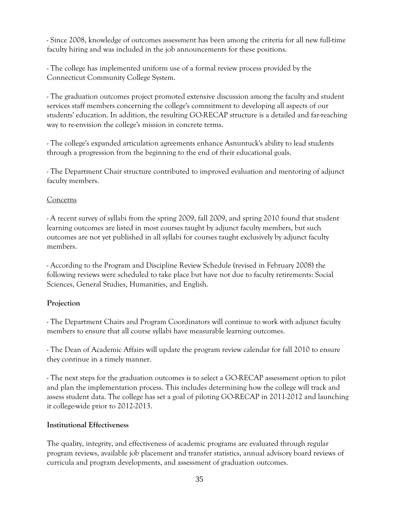- Since 2008, knowledge of outcomes assessment has been among the criteria for all new full-time faculty hiring and was included in the job announcements for these positions.

- The college has implemented uniform use of a formal review process provided by the Connecticut Community College System.

- The graduation outcomes project promoted extensive discussion among the faculty and student services staff members concerning the college's commitment to developing all aspects of our students' education. In addition, the resulting GO-RECAP structure is a detailed and far-reaching way to re-envision the college's mission in concrete terms.

- The college's expanded articulation agreements enhance Asnuntuck's ability to lead students through a progression from the beginning to the end of their educational goals.

- The Department Chair structure contributed to improved evaluation and mentoring of adjunct faculty members.

#### **Concerns**

- A recent survey of syllabi from the spring 2009, fall 2009, and spring 2010 found that student learning outcomes are listed in most courses taught by adjunct faculty members, but such outcomes are not yet published in all syllabi for courses taught exclusively by adjunct faculty members.

- According to the Program and Discipline Review Schedule (revised in February 2008) the following reviews were scheduled to take place but have not due to faculty retirements: Social Sciences, General Studies, Humanities, and English.

#### **Projection**

- The Department Chairs and Program Coordinators will continue to work with adjunct faculty members to ensure that all course syllabi have measurable learning outcomes.

- The Dean of Academic Affairs will update the program review calendar for fall 2010 to ensure they continue in a timely manner.

- The next steps for the graduation outcomes is to select a GO-RECAP assessment option to pilot and plan the implementation process. This includes determining how the college will track and assess student data. The college has set a goal of piloting GO-RECAP in 2011-2012 and launching it college-wide prior to 2012-2013.

#### **Institutional Effectiveness**

The quality, integrity, and effectiveness of academic programs are evaluated through regular program reviews, available job placement and transfer statistics, annual advisory board reviews of curricula and program developments, and assessment of graduation outcomes.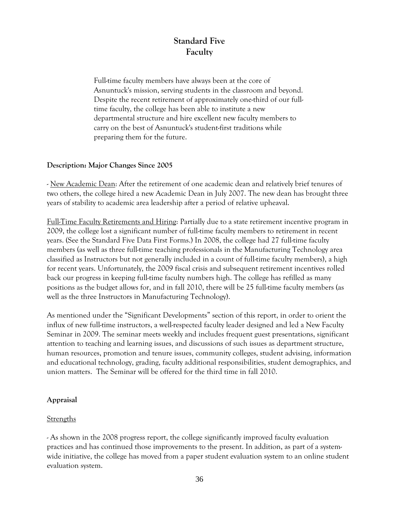## **Standard Five Faculty**

Full-time faculty members have always been at the core of Asnuntuck's mission, serving students in the classroom and beyond. Despite the recent retirement of approximately one-third of our fulltime faculty, the college has been able to institute a new departmental structure and hire excellent new faculty members to carry on the best of Asnuntuck's student-first traditions while preparing them for the future.

#### **Description: Major Changes Since 2005**

- New Academic Dean: After the retirement of one academic dean and relatively brief tenures of two others, the college hired a new Academic Dean in July 2007. The new dean has brought three years of stability to academic area leadership after a period of relative upheaval.

Full-Time Faculty Retirements and Hiring: Partially due to a state retirement incentive program in 2009, the college lost a significant number of full-time faculty members to retirement in recent years. (See the Standard Five Data First Forms.) In 2008, the college had 27 full-time faculty members (as well as three full-time teaching professionals in the Manufacturing Technology area classified as Instructors but not generally included in a count of full-time faculty members), a high for recent years. Unfortunately, the 2009 fiscal crisis and subsequent retirement incentives rolled back our progress in keeping full-time faculty numbers high. The college has refilled as many positions as the budget allows for, and in fall 2010, there will be 25 full-time faculty members (as well as the three Instructors in Manufacturing Technology).

As mentioned under the "Significant Developments" section of this report, in order to orient the influx of new full-time instructors, a well-respected faculty leader designed and led a New Faculty Seminar in 2009. The seminar meets weekly and includes frequent guest presentations, significant attention to teaching and learning issues, and discussions of such issues as department structure, human resources, promotion and tenure issues, community colleges, student advising, information and educational technology, grading, faculty additional responsibilities, student demographics, and union matters. The Seminar will be offered for the third time in fall 2010.

#### **Appraisal**

#### **Strengths**

- As shown in the 2008 progress report, the college significantly improved faculty evaluation practices and has continued those improvements to the present. In addition, as part of a systemwide initiative, the college has moved from a paper student evaluation system to an online student evaluation system.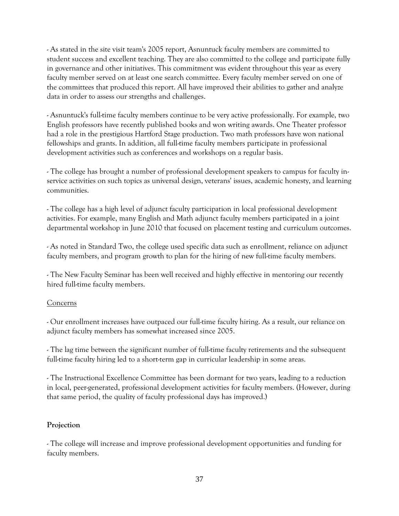- As stated in the site visit team's 2005 report, Asnuntuck faculty members are committed to student success and excellent teaching. They are also committed to the college and participate fully in governance and other initiatives. This commitment was evident throughout this year as every faculty member served on at least one search committee. Every faculty member served on one of the committees that produced this report. All have improved their abilities to gather and analyze data in order to assess our strengths and challenges.

- Asnuntuck's full-time faculty members continue to be very active professionally. For example, two English professors have recently published books and won writing awards. One Theater professor had a role in the prestigious Hartford Stage production. Two math professors have won national fellowships and grants. In addition, all full-time faculty members participate in professional development activities such as conferences and workshops on a regular basis.

- The college has brought a number of professional development speakers to campus for faculty inservice activities on such topics as universal design, veterans' issues, academic honesty, and learning communities.

- The college has a high level of adjunct faculty participation in local professional development activities. For example, many English and Math adjunct faculty members participated in a joint departmental workshop in June 2010 that focused on placement testing and curriculum outcomes.

- As noted in Standard Two, the college used specific data such as enrollment, reliance on adjunct faculty members, and program growth to plan for the hiring of new full-time faculty members.

- The New Faculty Seminar has been well received and highly effective in mentoring our recently hired full-time faculty members.

#### Concerns

- Our enrollment increases have outpaced our full-time faculty hiring. As a result, our reliance on adjunct faculty members has somewhat increased since 2005.

- The lag time between the significant number of full-time faculty retirements and the subsequent full-time faculty hiring led to a short-term gap in curricular leadership in some areas.

- The Instructional Excellence Committee has been dormant for two years, leading to a reduction in local, peer-generated, professional development activities for faculty members. (However, during that same period, the quality of faculty professional days has improved.)

#### **Projection**

- The college will increase and improve professional development opportunities and funding for faculty members.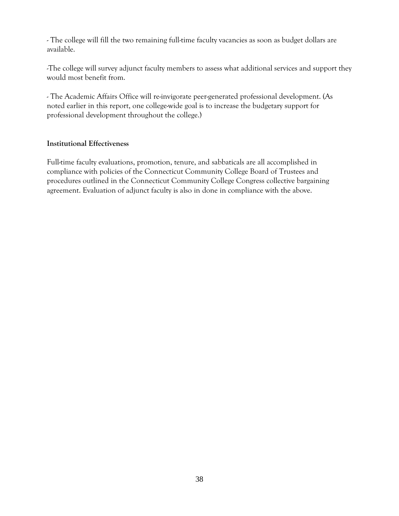- The college will fill the two remaining full-time faculty vacancies as soon as budget dollars are available.

-The college will survey adjunct faculty members to assess what additional services and support they would most benefit from.

- The Academic Affairs Office will re-invigorate peer-generated professional development. (As noted earlier in this report, one college-wide goal is to increase the budgetary support for professional development throughout the college.)

#### **Institutional Effectiveness**

Full-time faculty evaluations, promotion, tenure, and sabbaticals are all accomplished in compliance with policies of the Connecticut Community College Board of Trustees and procedures outlined in the Connecticut Community College Congress collective bargaining agreement. Evaluation of adjunct faculty is also in done in compliance with the above.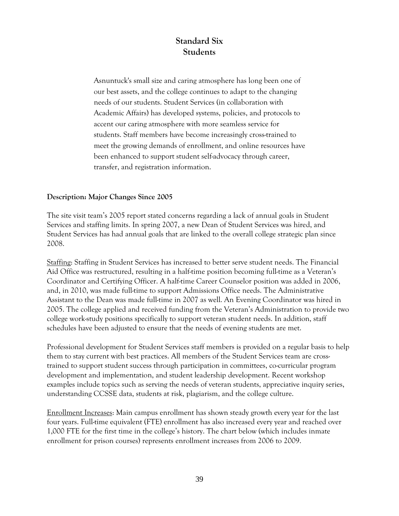## **Standard Six Students**

Asnuntuck's small size and caring atmosphere has long been one of our best assets, and the college continues to adapt to the changing needs of our students. Student Services (in collaboration with Academic Affairs) has developed systems, policies, and protocols to accent our caring atmosphere with more seamless service for students. Staff members have become increasingly cross-trained to meet the growing demands of enrollment, and online resources have been enhanced to support student self-advocacy through career, transfer, and registration information.

#### **Description: Major Changes Since 2005**

The site visit team's 2005 report stated concerns regarding a lack of annual goals in Student Services and staffing limits. In spring 2007, a new Dean of Student Services was hired, and Student Services has had annual goals that are linked to the overall college strategic plan since 2008.

Staffing: Staffing in Student Services has increased to better serve student needs. The Financial Aid Office was restructured, resulting in a half-time position becoming full-time as a Veteran's Coordinator and Certifying Officer. A half-time Career Counselor position was added in 2006, and, in 2010, was made full-time to support Admissions Office needs. The Administrative Assistant to the Dean was made full-time in 2007 as well. An Evening Coordinator was hired in 2005. The college applied and received funding from the Veteran's Administration to provide two college work-study positions specifically to support veteran student needs. In addition, staff schedules have been adjusted to ensure that the needs of evening students are met.

Professional development for Student Services staff members is provided on a regular basis to help them to stay current with best practices. All members of the Student Services team are crosstrained to support student success through participation in committees, co-curricular program development and implementation, and student leadership development. Recent workshop examples include topics such as serving the needs of veteran students, appreciative inquiry series, understanding CCSSE data, students at risk, plagiarism, and the college culture.

Enrollment Increases: Main campus enrollment has shown steady growth every year for the last four years. Full-time equivalent (FTE) enrollment has also increased every year and reached over 1,000 FTE for the first time in the college's history. The chart below (which includes inmate enrollment for prison courses) represents enrollment increases from 2006 to 2009.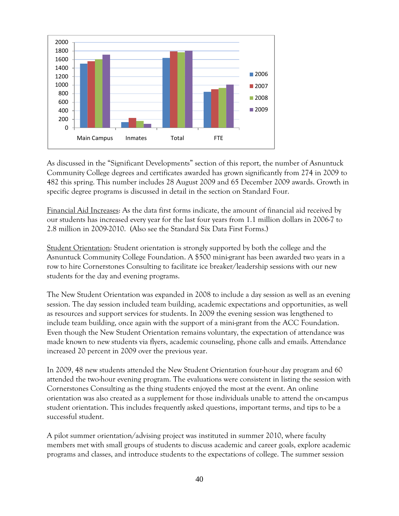

As discussed in the "Significant Developments" section of this report, the number of Asnuntuck Community College degrees and certificates awarded has grown significantly from 274 in 2009 to 482 this spring. This number includes 28 August 2009 and 65 December 2009 awards. Growth in specific degree programs is discussed in detail in the section on Standard Four.

Financial Aid Increases: As the data first forms indicate, the amount of financial aid received by our students has increased every year for the last four years from 1.1 million dollars in 2006-7 to 2.8 million in 2009-2010. (Also see the Standard Six Data First Forms.)

Student Orientation: Student orientation is strongly supported by both the college and the Asnuntuck Community College Foundation. A \$500 mini-grant has been awarded two years in a row to hire Cornerstones Consulting to facilitate ice breaker/leadership sessions with our new students for the day and evening programs.

The New Student Orientation was expanded in 2008 to include a day session as well as an evening session. The day session included team building, academic expectations and opportunities, as well as resources and support services for students. In 2009 the evening session was lengthened to include team building, once again with the support of a mini-grant from the ACC Foundation. Even though the New Student Orientation remains voluntary, the expectation of attendance was made known to new students via flyers, academic counseling, phone calls and emails. Attendance increased 20 percent in 2009 over the previous year.

In 2009, 48 new students attended the New Student Orientation four-hour day program and 60 attended the two-hour evening program. The evaluations were consistent in listing the session with Cornerstones Consulting as the thing students enjoyed the most at the event. An online orientation was also created as a supplement for those individuals unable to attend the on-campus student orientation. This includes frequently asked questions, important terms, and tips to be a successful student.

A pilot summer orientation/advising project was instituted in summer 2010, where faculty members met with small groups of students to discuss academic and career goals, explore academic programs and classes, and introduce students to the expectations of college. The summer session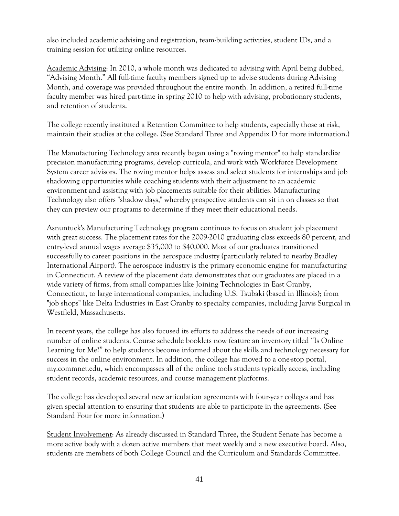also included academic advising and registration, team-building activities, student IDs, and a training session for utilizing online resources.

Academic Advising: In 2010, a whole month was dedicated to advising with April being dubbed, "Advising Month." All full-time faculty members signed up to advise students during Advising Month, and coverage was provided throughout the entire month. In addition, a retired full-time faculty member was hired part-time in spring 2010 to help with advising, probationary students, and retention of students.

The college recently instituted a Retention Committee to help students, especially those at risk, maintain their studies at the college. (See Standard Three and Appendix D for more information.)

The Manufacturing Technology area recently began using a "roving mentor" to help standardize precision manufacturing programs, develop curricula, and work with Workforce Development System career advisors. The roving mentor helps assess and select students for internships and job shadowing opportunities while coaching students with their adjustment to an academic environment and assisting with job placements suitable for their abilities. Manufacturing Technology also offers "shadow days," whereby prospective students can sit in on classes so that they can preview our programs to determine if they meet their educational needs.

Asnuntuck's Manufacturing Technology program continues to focus on student job placement with great success. The placement rates for the 2009-2010 graduating class exceeds 80 percent, and entry-level annual wages average \$35,000 to \$40,000. Most of our graduates transitioned successfully to career positions in the aerospace industry (particularly related to nearby Bradley International Airport). The aerospace industry is the primary economic engine for manufacturing in Connecticut. A review of the placement data demonstrates that our graduates are placed in a wide variety of firms, from small companies like Joining Technologies in East Granby, Connecticut, to large international companies, including U.S. Tsubaki (based in Illinois); from "job shops" like Delta Industries in East Granby to specialty companies, including Jarvis Surgical in Westfield, Massachusetts.

In recent years, the college has also focused its efforts to address the needs of our increasing number of online students. Course schedule booklets now feature an inventory titled "Is Online Learning for Me?" to help students become informed about the skills and technology necessary for success in the online environment. In addition, the college has moved to a one-stop portal, my.commnet.edu, which encompasses all of the online tools students typically access, including student records, academic resources, and course management platforms.

The college has developed several new articulation agreements with four-year colleges and has given special attention to ensuring that students are able to participate in the agreements. (See Standard Four for more information.)

Student Involvement: As already discussed in Standard Three, the Student Senate has become a more active body with a dozen active members that meet weekly and a new executive board. Also, students are members of both College Council and the Curriculum and Standards Committee.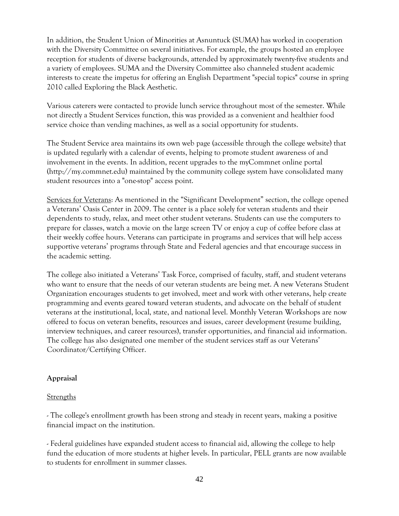In addition, the Student Union of Minorities at Asnuntuck (SUMA) has worked in cooperation with the Diversity Committee on several initiatives. For example, the groups hosted an employee reception for students of diverse backgrounds, attended by approximately twenty-five students and a variety of employees. SUMA and the Diversity Committee also channeled student academic interests to create the impetus for offering an English Department "special topics" course in spring 2010 called Exploring the Black Aesthetic.

Various caterers were contacted to provide lunch service throughout most of the semester. While not directly a Student Services function, this was provided as a convenient and healthier food service choice than vending machines, as well as a social opportunity for students.

The Student Service area maintains its own web page (accessible through the college website) that is updated regularly with a calendar of events, helping to promote student awareness of and involvement in the events. In addition, recent upgrades to the myCommnet online portal (http://my.commnet.edu) maintained by the community college system have consolidated many student resources into a "one-stop" access point.

Services for Veterans: As mentioned in the "Significant Development" section, the college opened a Veterans' Oasis Center in 2009. The center is a place solely for veteran students and their dependents to study, relax, and meet other student veterans. Students can use the computers to prepare for classes, watch a movie on the large screen TV or enjoy a cup of coffee before class at their weekly coffee hours. Veterans can participate in programs and services that will help access supportive veterans' programs through State and Federal agencies and that encourage success in the academic setting.

The college also initiated a Veterans' Task Force, comprised of faculty, staff, and student veterans who want to ensure that the needs of our veteran students are being met. A new Veterans Student Organization encourages students to get involved, meet and work with other veterans, help create programming and events geared toward veteran students, and advocate on the behalf of student veterans at the institutional, local, state, and national level. Monthly Veteran Workshops are now offered to focus on veteran benefits, resources and issues, career development (resume building, interview techniques, and career resources), transfer opportunities, and financial aid information. The college has also designated one member of the student services staff as our Veterans' Coordinator/Certifying Officer.

#### **Appraisal**

#### Strengths

- The college's enrollment growth has been strong and steady in recent years, making a positive financial impact on the institution.

- Federal guidelines have expanded student access to financial aid, allowing the college to help fund the education of more students at higher levels. In particular, PELL grants are now available to students for enrollment in summer classes.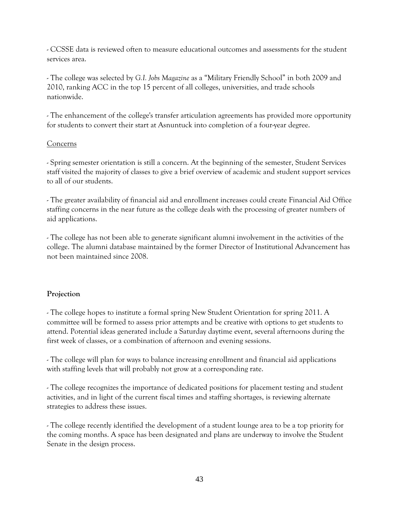- CCSSE data is reviewed often to measure educational outcomes and assessments for the student services area.

- The college was selected by *G.I. Jobs Magazine* as a "Military Friendly School" in both 2009 and 2010, ranking ACC in the top 15 percent of all colleges, universities, and trade schools nationwide.

- The enhancement of the college's transfer articulation agreements has provided more opportunity for students to convert their start at Asnuntuck into completion of a four-year degree.

#### Concerns

- Spring semester orientation is still a concern. At the beginning of the semester, Student Services staff visited the majority of classes to give a brief overview of academic and student support services to all of our students.

- The greater availability of financial aid and enrollment increases could create Financial Aid Office staffing concerns in the near future as the college deals with the processing of greater numbers of aid applications.

- The college has not been able to generate significant alumni involvement in the activities of the college. The alumni database maintained by the former Director of Institutional Advancement has not been maintained since 2008.

#### **Projection**

- The college hopes to institute a formal spring New Student Orientation for spring 2011. A committee will be formed to assess prior attempts and be creative with options to get students to attend. Potential ideas generated include a Saturday daytime event, several afternoons during the first week of classes, or a combination of afternoon and evening sessions.

- The college will plan for ways to balance increasing enrollment and financial aid applications with staffing levels that will probably not grow at a corresponding rate.

- The college recognizes the importance of dedicated positions for placement testing and student activities, and in light of the current fiscal times and staffing shortages, is reviewing alternate strategies to address these issues.

- The college recently identified the development of a student lounge area to be a top priority for the coming months. A space has been designated and plans are underway to involve the Student Senate in the design process.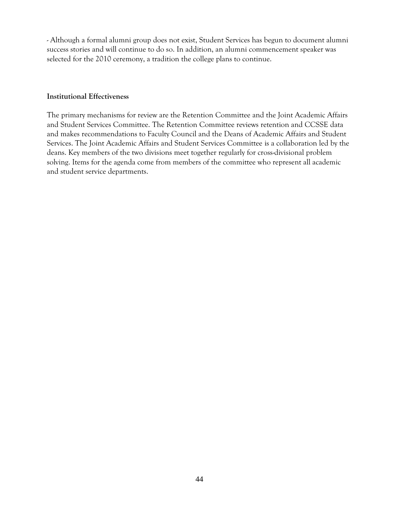- Although a formal alumni group does not exist, Student Services has begun to document alumni success stories and will continue to do so. In addition, an alumni commencement speaker was selected for the 2010 ceremony, a tradition the college plans to continue.

#### **Institutional Effectiveness**

The primary mechanisms for review are the Retention Committee and the Joint Academic Affairs and Student Services Committee. The Retention Committee reviews retention and CCSSE data and makes recommendations to Faculty Council and the Deans of Academic Affairs and Student Services. The Joint Academic Affairs and Student Services Committee is a collaboration led by the deans. Key members of the two divisions meet together regularly for cross-divisional problem solving. Items for the agenda come from members of the committee who represent all academic and student service departments.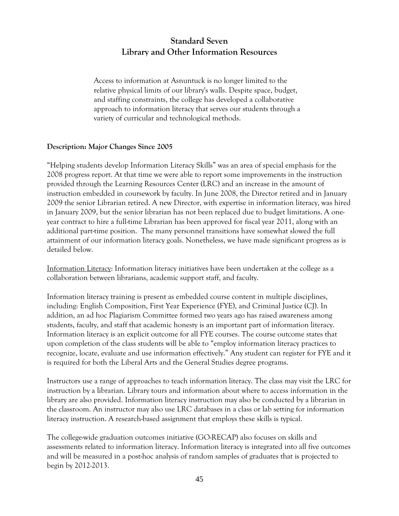## **Standard Seven Library and Other Information Resources**

Access to information at Asnuntuck is no longer limited to the relative physical limits of our library's walls. Despite space, budget, and staffing constraints, the college has developed a collaborative approach to information literacy that serves our students through a variety of curricular and technological methods.

#### **Description: Major Changes Since 2005**

"Helping students develop Information Literacy Skills" was an area of special emphasis for the 2008 progress report. At that time we were able to report some improvements in the instruction provided through the Learning Resources Center (LRC) and an increase in the amount of instruction embedded in coursework by faculty. In June 2008, the Director retired and in January 2009 the senior Librarian retired. A new Director, with expertise in information literacy, was hired in January 2009, but the senior librarian has not been replaced due to budget limitations. A oneyear contract to hire a full-time Librarian has been approved for fiscal year 2011, along with an additional part-time position. The many personnel transitions have somewhat slowed the full attainment of our information literacy goals. Nonetheless, we have made significant progress as is detailed below.

Information Literacy: Information literacy initiatives have been undertaken at the college as a collaboration between librarians, academic support staff, and faculty.

Information literacy training is present as embedded course content in multiple disciplines, including: English Composition, First Year Experience (FYE), and Criminal Justice (CJ). In addition, an ad hoc Plagiarism Committee formed two years ago has raised awareness among students, faculty, and staff that academic honesty is an important part of information literacy. Information literacy is an explicit outcome for all FYE courses. The course outcome states that upon completion of the class students will be able to "employ information literacy practices to recognize, locate, evaluate and use information effectively." Any student can register for FYE and it is required for both the Liberal Arts and the General Studies degree programs.

Instructors use a range of approaches to teach information literacy. The class may visit the LRC for instruction by a librarian. Library tours and information about where to access information in the library are also provided. Information literacy instruction may also be conducted by a librarian in the classroom. An instructor may also use LRC databases in a class or lab setting for information literacy instruction. A research-based assignment that employs these skills is typical.

The college-wide graduation outcomes initiative (GO-RECAP) also focuses on skills and assessments related to information literacy. Information literacy is integrated into all five outcomes and will be measured in a post-hoc analysis of random samples of graduates that is projected to begin by 2012-2013.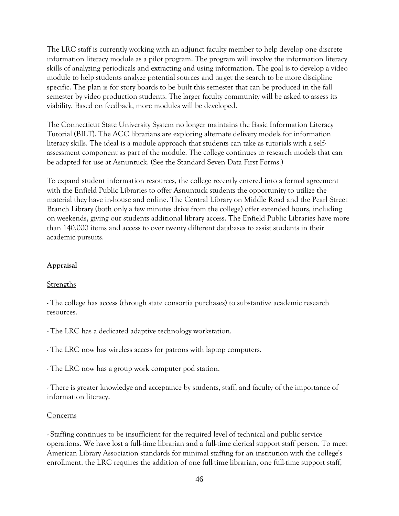The LRC staff is currently working with an adjunct faculty member to help develop one discrete information literacy module as a pilot program. The program will involve the information literacy skills of analyzing periodicals and extracting and using information. The goal is to develop a video module to help students analyze potential sources and target the search to be more discipline specific. The plan is for story boards to be built this semester that can be produced in the fall semester by video production students. The larger faculty community will be asked to assess its viability. Based on feedback, more modules will be developed.

The Connecticut State University System no longer maintains the Basic Information Literacy Tutorial (BILT). The ACC librarians are exploring alternate delivery models for information literacy skills. The ideal is a module approach that students can take as tutorials with a selfassessment component as part of the module. The college continues to research models that can be adapted for use at Asnuntuck. (See the Standard Seven Data First Forms.)

To expand student information resources, the college recently entered into a formal agreement with the Enfield Public Libraries to offer Asnuntuck students the opportunity to utilize the material they have in-house and online. The Central Library on Middle Road and the Pearl Street Branch Library (both only a few minutes drive from the college) offer extended hours, including on weekends, giving our students additional library access. The Enfield Public Libraries have more than 140,000 items and access to over twenty different databases to assist students in their academic pursuits.

#### **Appraisal**

#### Strengths

- The college has access (through state consortia purchases) to substantive academic research resources.

- The LRC has a dedicated adaptive technology workstation.

- The LRC now has wireless access for patrons with laptop computers.

- The LRC now has a group work computer pod station.

- There is greater knowledge and acceptance by students, staff, and faculty of the importance of information literacy.

#### **Concerns**

- Staffing continues to be insufficient for the required level of technical and public service operations. We have lost a full-time librarian and a full-time clerical support staff person. To meet American Library Association standards for minimal staffing for an institution with the college's enrollment, the LRC requires the addition of one full-time librarian, one full-time support staff,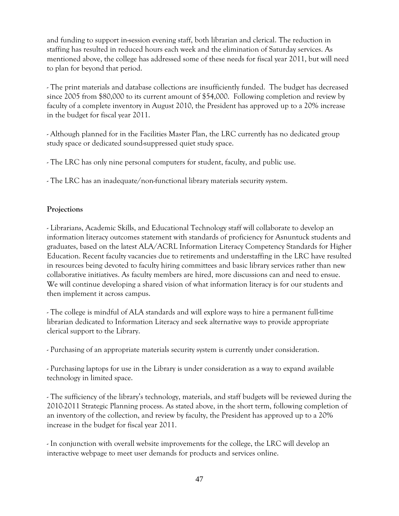and funding to support in-session evening staff, both librarian and clerical. The reduction in staffing has resulted in reduced hours each week and the elimination of Saturday services. As mentioned above, the college has addressed some of these needs for fiscal year 2011, but will need to plan for beyond that period.

- The print materials and database collections are insufficiently funded. The budget has decreased since 2005 from \$80,000 to its current amount of \$54,000. Following completion and review by faculty of a complete inventory in August 2010, the President has approved up to a 20% increase in the budget for fiscal year 2011.

- Although planned for in the Facilities Master Plan, the LRC currently has no dedicated group study space or dedicated sound-suppressed quiet study space.

- The LRC has only nine personal computers for student, faculty, and public use.

- The LRC has an inadequate/non-functional library materials security system.

#### **Projections**

- Librarians, Academic Skills, and Educational Technology staff will collaborate to develop an information literacy outcomes statement with standards of proficiency for Asnuntuck students and graduates, based on the latest ALA/ACRL Information Literacy Competency Standards for Higher Education. Recent faculty vacancies due to retirements and understaffing in the LRC have resulted in resources being devoted to faculty hiring committees and basic library services rather than new collaborative initiatives. As faculty members are hired, more discussions can and need to ensue. We will continue developing a shared vision of what information literacy is for our students and then implement it across campus.

- The college is mindful of ALA standards and will explore ways to hire a permanent full-time librarian dedicated to Information Literacy and seek alternative ways to provide appropriate clerical support to the Library.

- Purchasing of an appropriate materials security system is currently under consideration.

- Purchasing laptops for use in the Library is under consideration as a way to expand available technology in limited space.

- The sufficiency of the library's technology, materials, and staff budgets will be reviewed during the 2010-2011 Strategic Planning process. As stated above, in the short term, following completion of an inventory of the collection, and review by faculty, the President has approved up to a 20% increase in the budget for fiscal year 2011.

- In conjunction with overall website improvements for the college, the LRC will develop an interactive webpage to meet user demands for products and services online.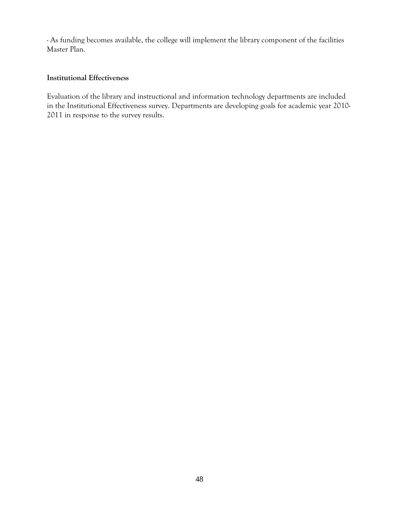- As funding becomes available, the college will implement the library component of the facilities Master Plan.

#### **Institutional Effectiveness**

Evaluation of the library and instructional and information technology departments are included in the Institutional Effectiveness survey. Departments are developing goals for academic year 2010- 2011 in response to the survey results.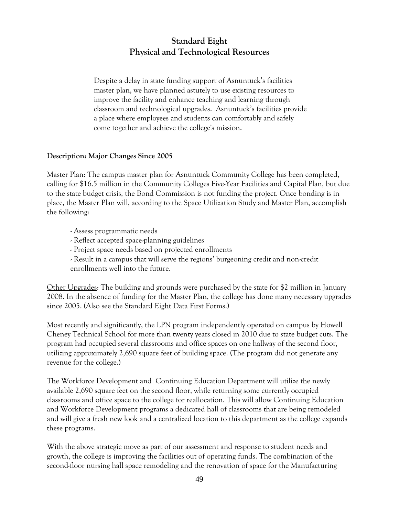## **Standard Eight Physical and Technological Resources**

Despite a delay in state funding support of Asnuntuck's facilities master plan, we have planned astutely to use existing resources to improve the facility and enhance teaching and learning through classroom and technological upgrades. Asnuntuck's facilities provide a place where employees and students can comfortably and safely come together and achieve the college's mission.

#### **Description: Major Changes Since 2005**

Master Plan: The campus master plan for Asnuntuck Community College has been completed, calling for \$16.5 million in the Community Colleges Five-Year Facilities and Capital Plan, but due to the state budget crisis, the Bond Commission is not funding the project. Once bonding is in place, the Master Plan will, according to the Space Utilization Study and Master Plan, accomplish the following:

- Assess programmatic needs
- Reflect accepted space-planning guidelines
- Project space needs based on projected enrollments
- Result in a campus that will serve the regions' burgeoning credit and non-credit enrollments well into the future.

Other Upgrades: The building and grounds were purchased by the state for \$2 million in January 2008. In the absence of funding for the Master Plan, the college has done many necessary upgrades since 2005. (Also see the Standard Eight Data First Forms.)

Most recently and significantly, the LPN program independently operated on campus by Howell Cheney Technical School for more than twenty years closed in 2010 due to state budget cuts. The program had occupied several classrooms and office spaces on one hallway of the second floor, utilizing approximately 2,690 square feet of building space. (The program did not generate any revenue for the college.)

The Workforce Development and Continuing Education Department will utilize the newly available 2,690 square feet on the second floor, while returning some currently occupied classrooms and office space to the college for reallocation. This will allow Continuing Education and Workforce Development programs a dedicated hall of classrooms that are being remodeled and will give a fresh new look and a centralized location to this department as the college expands these programs.

With the above strategic move as part of our assessment and response to student needs and growth, the college is improving the facilities out of operating funds. The combination of the second-floor nursing hall space remodeling and the renovation of space for the Manufacturing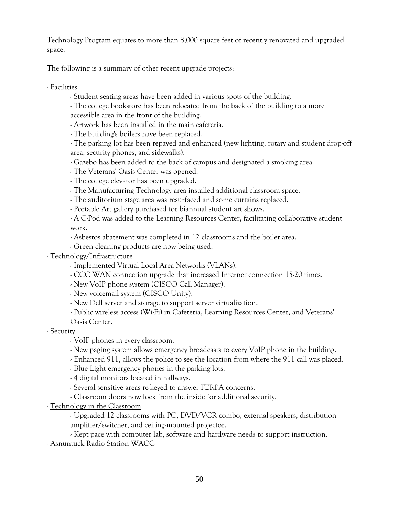Technology Program equates to more than 8,000 square feet of recently renovated and upgraded space.

The following is a summary of other recent upgrade projects:

- Facilities

- Student seating areas have been added in various spots of the building.

- The college bookstore has been relocated from the back of the building to a more accessible area in the front of the building.

- Artwork has been installed in the main cafeteria.

- The building's boilers have been replaced.

- The parking lot has been repaved and enhanced (new lighting, rotary and student drop-off area, security phones, and sidewalks).

- Gazebo has been added to the back of campus and designated a smoking area.

- The Veterans' Oasis Center was opened.

- The college elevator has been upgraded.

- The Manufacturing Technology area installed additional classroom space.

- The auditorium stage area was resurfaced and some curtains replaced.

- Portable Art gallery purchased for biannual student art shows.

- A C-Pod was added to the Learning Resources Center, facilitating collaborative student work.

- Asbestos abatement was completed in 12 classrooms and the boiler area.

- Green cleaning products are now being used.

- Technology/Infrastructure

- Implemented Virtual Local Area Networks (VLANs).

- CCC WAN connection upgrade that increased Internet connection 15-20 times.

- New VoIP phone system (CISCO Call Manager).

- New voicemail system (CISCO Unity).

- New Dell server and storage to support server virtualization.

- Public wireless access (Wi-Fi) in Cafeteria, Learning Resources Center, and Veterans'

Oasis Center.

- Security

- VoIP phones in every classroom.

- New paging system allows emergency broadcasts to every VoIP phone in the building.

- Enhanced 911, allows the police to see the location from where the 911 call was placed.

- Blue Light emergency phones in the parking lots.

- 4 digital monitors located in hallways.

- Several sensitive areas re-keyed to answer FERPA concerns.

- Classroom doors now lock from the inside for additional security.

- Technology in the Classroom

- Upgraded 12 classrooms with PC, DVD/VCR combo, external speakers, distribution amplifier/switcher, and ceiling-mounted projector.

- Kept pace with computer lab, software and hardware needs to support instruction.

- Asnuntuck Radio Station WACC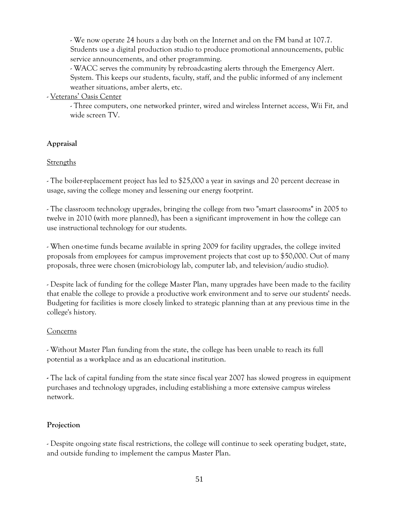- We now operate 24 hours a day both on the Internet and on the FM band at 107.7. Students use a digital production studio to produce promotional announcements, public service announcements, and other programming.

- WACC serves the community by rebroadcasting alerts through the Emergency Alert. System. This keeps our students, faculty, staff, and the public informed of any inclement weather situations, amber alerts, etc.

- Veterans' Oasis Center

- Three computers, one networked printer, wired and wireless Internet access, Wii Fit, and wide screen TV.

#### **Appraisal**

#### **Strengths**

- The boiler-replacement project has led to \$25,000 a year in savings and 20 percent decrease in usage, saving the college money and lessening our energy footprint.

- The classroom technology upgrades, bringing the college from two "smart classrooms" in 2005 to twelve in 2010 (with more planned), has been a significant improvement in how the college can use instructional technology for our students.

- When one-time funds became available in spring 2009 for facility upgrades, the college invited proposals from employees for campus improvement projects that cost up to \$50,000. Out of many proposals, three were chosen (microbiology lab, computer lab, and television/audio studio).

- Despite lack of funding for the college Master Plan, many upgrades have been made to the facility that enable the college to provide a productive work environment and to serve our students' needs. Budgeting for facilities is more closely linked to strategic planning than at any previous time in the college's history.

#### Concerns

- Without Master Plan funding from the state, the college has been unable to reach its full potential as a workplace and as an educational institution.

**-** The lack of capital funding from the state since fiscal year 2007 has slowed progress in equipment purchases and technology upgrades, including establishing a more extensive campus wireless network.

#### **Projection**

- Despite ongoing state fiscal restrictions, the college will continue to seek operating budget, state, and outside funding to implement the campus Master Plan.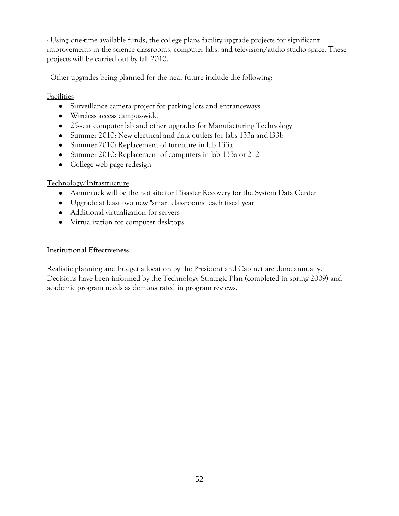- Using one-time available funds, the college plans facility upgrade projects for significant improvements in the science classrooms, computer labs, and television/audio studio space. These projects will be carried out by fall 2010.

- Other upgrades being planned for the near future include the following:

#### Facilities

- Surveillance camera project for parking lots and entranceways
- Wireless access campus-wide
- 25-seat computer lab and other upgrades for Manufacturing Technology
- Summer 2010: New electrical and data outlets for labs 133a and l33b
- Summer 2010: Replacement of furniture in lab 133a
- Summer 2010: Replacement of computers in lab 133a or 212
- College web page redesign

#### Technology/Infrastructure

- Asnuntuck will be the hot site for Disaster Recovery for the System Data Center
- Upgrade at least two new "smart classrooms" each fiscal year
- Additional virtualization for servers
- Virtualization for computer desktops

#### **Institutional Effectiveness**

Realistic planning and budget allocation by the President and Cabinet are done annually. Decisions have been informed by the Technology Strategic Plan (completed in spring 2009) and academic program needs as demonstrated in program reviews.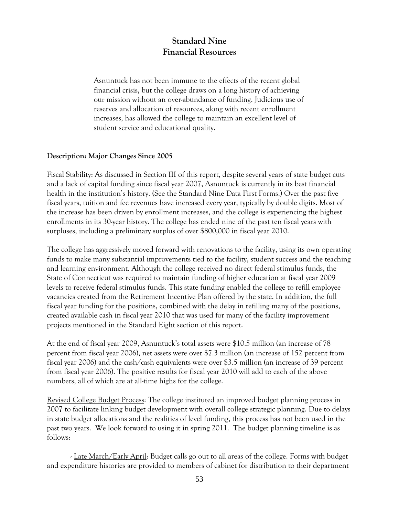## **Standard Nine Financial Resources**

Asnuntuck has not been immune to the effects of the recent global financial crisis, but the college draws on a long history of achieving our mission without an over-abundance of funding. Judicious use of reserves and allocation of resources, along with recent enrollment increases, has allowed the college to maintain an excellent level of student service and educational quality.

#### **Description: Major Changes Since 2005**

Fiscal Stability: As discussed in Section III of this report, despite several years of state budget cuts and a lack of capital funding since fiscal year 2007, Asnuntuck is currently in its best financial health in the institution's history. (See the Standard Nine Data First Forms.) Over the past five fiscal years, tuition and fee revenues have increased every year, typically by double digits. Most of the increase has been driven by enrollment increases, and the college is experiencing the highest enrollments in its 30-year history. The college has ended nine of the past ten fiscal years with surpluses, including a preliminary surplus of over \$800,000 in fiscal year 2010.

The college has aggressively moved forward with renovations to the facility, using its own operating funds to make many substantial improvements tied to the facility, student success and the teaching and learning environment. Although the college received no direct federal stimulus funds, the State of Connecticut was required to maintain funding of higher education at fiscal year 2009 levels to receive federal stimulus funds. This state funding enabled the college to refill employee vacancies created from the Retirement Incentive Plan offered by the state. In addition, the full fiscal year funding for the positions, combined with the delay in refilling many of the positions, created available cash in fiscal year 2010 that was used for many of the facility improvement projects mentioned in the Standard Eight section of this report.

At the end of fiscal year 2009, Asnuntuck's total assets were \$10.5 million (an increase of 78 percent from fiscal year 2006), net assets were over \$7.3 million (an increase of 152 percent from fiscal year 2006) and the cash/cash equivalents were over \$3.5 million (an increase of 39 percent from fiscal year 2006). The positive results for fiscal year 2010 will add to each of the above numbers, all of which are at all-time highs for the college.

Revised College Budget Process: The college instituted an improved budget planning process in 2007 to facilitate linking budget development with overall college strategic planning. Due to delays in state budget allocations and the realities of level funding, this process has not been used in the past two years. We look forward to using it in spring 2011. The budget planning timeline is as follows:

- Late March/Early April: Budget calls go out to all areas of the college. Forms with budget and expenditure histories are provided to members of cabinet for distribution to their department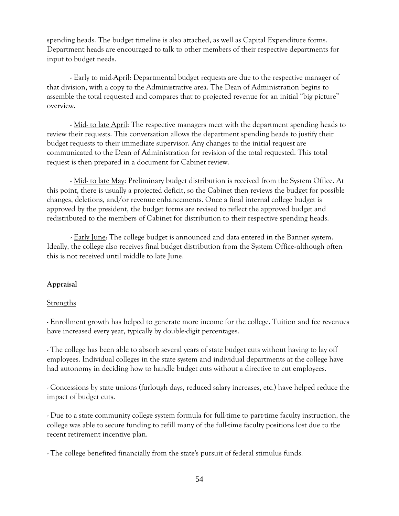spending heads. The budget timeline is also attached, as well as Capital Expenditure forms. Department heads are encouraged to talk to other members of their respective departments for input to budget needs.

- Early to mid-April: Departmental budget requests are due to the respective manager of that division, with a copy to the Administrative area. The Dean of Administration begins to assemble the total requested and compares that to projected revenue for an initial "big picture" overview.

- Mid- to late April: The respective managers meet with the department spending heads to review their requests. This conversation allows the department spending heads to justify their budget requests to their immediate supervisor. Any changes to the initial request are communicated to the Dean of Administration for revision of the total requested. This total request is then prepared in a document for Cabinet review.

- Mid- to late May: Preliminary budget distribution is received from the System Office. At this point, there is usually a projected deficit, so the Cabinet then reviews the budget for possible changes, deletions, and/or revenue enhancements. Once a final internal college budget is approved by the president, the budget forms are revised to reflect the approved budget and redistributed to the members of Cabinet for distribution to their respective spending heads.

- Early June: The college budget is announced and data entered in the Banner system. Ideally, the college also receives final budget distribution from the System Office--although often this is not received until middle to late June.

#### **Appraisal**

#### **Strengths**

- Enrollment growth has helped to generate more income for the college. Tuition and fee revenues have increased every year, typically by double-digit percentages.

- The college has been able to absorb several years of state budget cuts without having to lay off employees. Individual colleges in the state system and individual departments at the college have had autonomy in deciding how to handle budget cuts without a directive to cut employees.

- Concessions by state unions (furlough days, reduced salary increases, etc.) have helped reduce the impact of budget cuts.

- Due to a state community college system formula for full-time to part-time faculty instruction, the college was able to secure funding to refill many of the full-time faculty positions lost due to the recent retirement incentive plan.

- The college benefited financially from the state's pursuit of federal stimulus funds.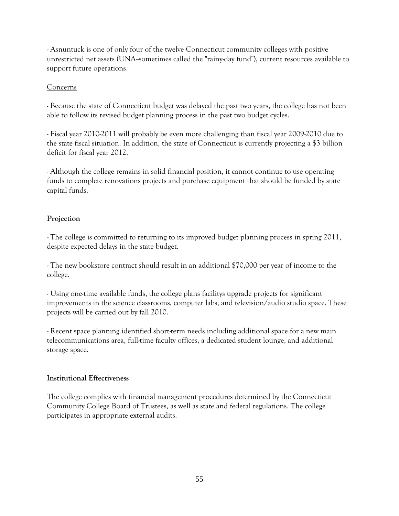- Asnuntuck is one of only four of the twelve Connecticut community colleges with positive unrestricted net assets (UNA--sometimes called the "rainy-day fund"), current resources available to support future operations.

#### Concerns

- Because the state of Connecticut budget was delayed the past two years, the college has not been able to follow its revised budget planning process in the past two budget cycles.

- Fiscal year 2010-2011 will probably be even more challenging than fiscal year 2009-2010 due to the state fiscal situation. In addition, the state of Connecticut is currently projecting a \$3 billion deficit for fiscal year 2012.

- Although the college remains in solid financial position, it cannot continue to use operating funds to complete renovations projects and purchase equipment that should be funded by state capital funds.

#### **Projection**

- The college is committed to returning to its improved budget planning process in spring 2011, despite expected delays in the state budget.

- The new bookstore contract should result in an additional \$70,000 per year of income to the college.

- Using one-time available funds, the college plans facilitys upgrade projects for significant improvements in the science classrooms, computer labs, and television/audio studio space. These projects will be carried out by fall 2010.

- Recent space planning identified short-term needs including additional space for a new main telecommunications area, full-time faculty offices, a dedicated student lounge, and additional storage space.

#### **Institutional Effectiveness**

The college complies with financial management procedures determined by the Connecticut Community College Board of Trustees, as well as state and federal regulations. The college participates in appropriate external audits.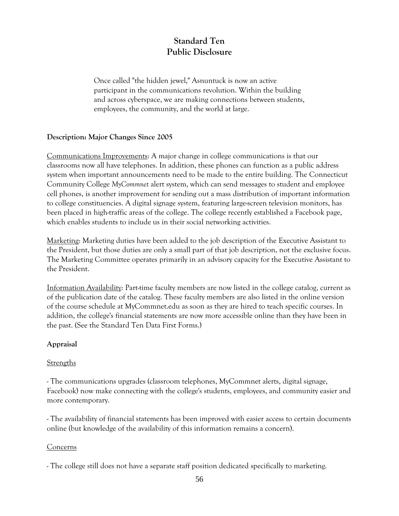## **Standard Ten Public Disclosure**

Once called "the hidden jewel," Asnuntuck is now an active participant in the communications revolution. Within the building and across cyberspace, we are making connections between students, employees, the community, and the world at large.

#### **Description: Major Changes Since 2005**

Communications Improvements: A major change in college communications is that our classrooms now all have telephones. In addition, these phones can function as a public address system when important announcements need to be made to the entire building. The Connecticut Community College *MyCommnet* alert system, which can send messages to student and employee cell phones, is another improvement for sending out a mass distribution of important information to college constituencies. A digital signage system, featuring large-screen television monitors, has been placed in high-traffic areas of the college. The college recently established a Facebook page, which enables students to include us in their social networking activities.

Marketing: Marketing duties have been added to the job description of the Executive Assistant to the President, but those duties are only a small part of that job description, not the exclusive focus. The Marketing Committee operates primarily in an advisory capacity for the Executive Assistant to the President.

Information Availability: Part-time faculty members are now listed in the college catalog, current as of the publication date of the catalog. These faculty members are also listed in the online version of the course schedule at MyCommnet.edu as soon as they are hired to teach specific courses. In addition, the college's financial statements are now more accessible online than they have been in the past. (See the Standard Ten Data First Forms.)

#### **Appraisal**

#### Strengths

- The communications upgrades (classroom telephones, MyCommnet alerts, digital signage, Facebook) now make connecting with the college's students, employees, and community easier and more contemporary.

- The availability of financial statements has been improved with easier access to certain documents online (but knowledge of the availability of this information remains a concern).

#### Concerns

- The college still does not have a separate staff position dedicated specifically to marketing.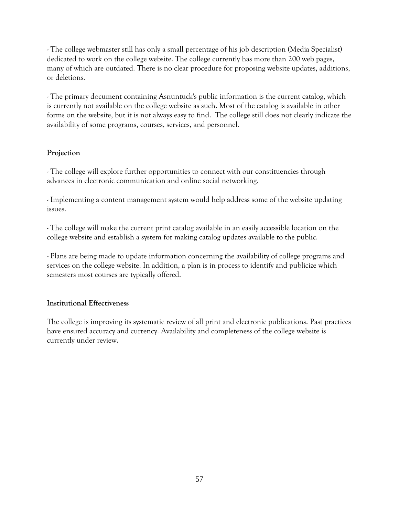- The college webmaster still has only a small percentage of his job description (Media Specialist) dedicated to work on the college website. The college currently has more than 200 web pages, many of which are outdated. There is no clear procedure for proposing website updates, additions, or deletions.

- The primary document containing Asnuntuck's public information is the current catalog, which is currently not available on the college website as such. Most of the catalog is available in other forms on the website, but it is not always easy to find. The college still does not clearly indicate the availability of some programs, courses, services, and personnel.

#### **Projection**

- The college will explore further opportunities to connect with our constituencies through advances in electronic communication and online social networking.

- Implementing a content management system would help address some of the website updating issues.

- The college will make the current print catalog available in an easily accessible location on the college website and establish a system for making catalog updates available to the public.

- Plans are being made to update information concerning the availability of college programs and services on the college website. In addition, a plan is in process to identify and publicize which semesters most courses are typically offered.

#### **Institutional Effectiveness**

The college is improving its systematic review of all print and electronic publications. Past practices have ensured accuracy and currency. Availability and completeness of the college website is currently under review.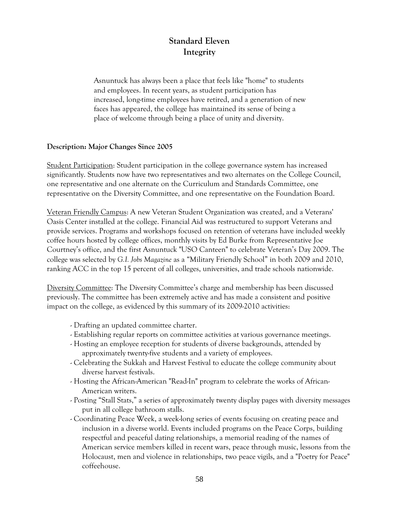## **Standard Eleven Integrity**

Asnuntuck has always been a place that feels like "home" to students and employees. In recent years, as student participation has increased, long-time employees have retired, and a generation of new faces has appeared, the college has maintained its sense of being a place of welcome through being a place of unity and diversity.

#### **Description: Major Changes Since 2005**

Student Participation: Student participation in the college governance system has increased significantly. Students now have two representatives and two alternates on the College Council, one representative and one alternate on the Curriculum and Standards Committee, one representative on the Diversity Committee, and one representative on the Foundation Board.

Veteran Friendly Campus: A new Veteran Student Organization was created, and a Veterans' Oasis Center installed at the college. Financial Aid was restructured to support Veterans and provide services. Programs and workshops focused on retention of veterans have included weekly coffee hours hosted by college offices, monthly visits by Ed Burke from Representative Joe Courtney's office, and the first Asnuntuck "USO Canteen" to celebrate Veteran's Day 2009. The college was selected by *G.I. Jobs Magazine* as a "Military Friendly School" in both 2009 and 2010, ranking ACC in the top 15 percent of all colleges, universities, and trade schools nationwide.

Diversity Committee: The Diversity Committee's charge and membership has been discussed previously. The committee has been extremely active and has made a consistent and positive impact on the college, as evidenced by this summary of its 2009-2010 activities:

- Drafting an updated committee charter.
- Establishing regular reports on committee activities at various governance meetings.
- Hosting an employee reception for students of diverse backgrounds, attended by approximately twenty-five students and a variety of employees.
- Celebrating the Sukkah and Harvest Festival to educate the college community about diverse harvest festivals.
- Hosting the African-American "Read-In" program to celebrate the works of African-American writers.
- Posting "Stall Stats," a series of approximately twenty display pages with diversity messages put in all college bathroom stalls.
- Coordinating Peace Week, a week-long series of events focusing on creating peace and inclusion in a diverse world. Events included programs on the Peace Corps, building respectful and peaceful dating relationships, a memorial reading of the names of American service members killed in recent wars, peace through music, lessons from the Holocaust, men and violence in relationships, two peace vigils, and a "Poetry for Peace" coffeehouse.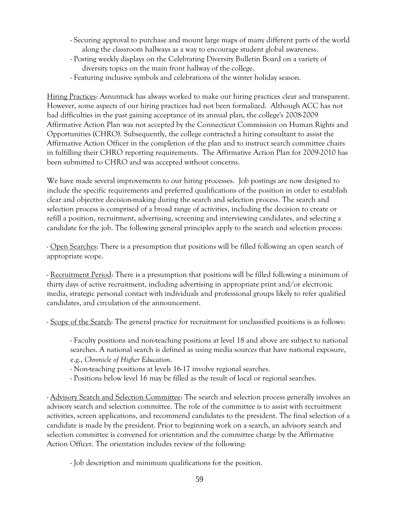- Securing approval to purchase and mount large maps of many different parts of the world along the classroom hallways as a way to encourage student global awareness.
- Posting weekly displays on the Celebrating Diversity Bulletin Board on a variety of diversity topics on the main front hallway of the college.
- Featuring inclusive symbols and celebrations of the winter holiday season.

Hiring Practices: Asnuntuck has always worked to make our hiring practices clear and transparent. However, some aspects of our hiring practices had not been formalized. Although ACC has not had difficulties in the past gaining acceptance of its annual plan, the college's 2008-2009 Affirmative Action Plan was not accepted by the Connecticut Commission on Human Rights and Opportunities (CHRO). Subsequently, the college contracted a hiring consultant to assist the Affirmative Action Officer in the completion of the plan and to instruct search committee chairs in fulfilling their CHRO reporting requirements. The Affirmative Action Plan for 2009-2010 has been submitted to CHRO and was accepted without concerns.

We have made several improvements to our hiring processes. Job postings are now designed to include the specific requirements and preferred qualifications of the position in order to establish clear and objective decision-making during the search and selection process. The search and selection process is comprised of a broad range of activities, including the decision to create or refill a position, recruitment, advertising, screening and interviewing candidates, and selecting a candidate for the job. The following general principles apply to the search and selection process:

- Open Searches: There is a presumption that positions will be filled following an open search of appropriate scope.

- Recruitment Period: There is a presumption that positions will be filled following a minimum of thirty days of active recruitment, including advertising in appropriate print and/or electronic media, strategic personal contact with individuals and professional groups likely to refer qualified candidates, and circulation of the announcement.

- Scope of the Search: The general practice for recruitment for unclassified positions is as follows:

- Faculty positions and non-teaching positions at level 18 and above are subject to national searches. A national search is defined as using media sources that have national exposure, e.g., *Chronicle of Higher Education*.

- Non-teaching positions at levels 16-17 involve regional searches.

- Positions below level 16 may be filled as the result of local or regional searches.

- Advisory Search and Selection Committee: The search and selection process generally involves an advisory search and selection committee. The role of the committee is to assist with recruitment activities, screen applications, and recommend candidates to the president. The final selection of a candidate is made by the president. Prior to beginning work on a search, an advisory search and selection committee is convened for orientation and the committee charge by the Affirmative Action Officer. The orientation includes review of the following:

- Job description and minimum qualifications for the position.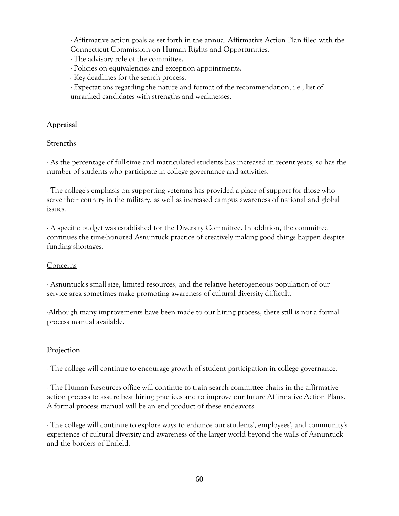- Affirmative action goals as set forth in the annual Affirmative Action Plan filed with the Connecticut Commission on Human Rights and Opportunities.

- The advisory role of the committee.

- Policies on equivalencies and exception appointments.
- Key deadlines for the search process.
- Expectations regarding the nature and format of the recommendation, i.e., list of unranked candidates with strengths and weaknesses.

#### **Appraisal**

#### **Strengths**

- As the percentage of full-time and matriculated students has increased in recent years, so has the number of students who participate in college governance and activities.

- The college's emphasis on supporting veterans has provided a place of support for those who serve their country in the military, as well as increased campus awareness of national and global issues.

- A specific budget was established for the Diversity Committee. In addition, the committee continues the time-honored Asnuntuck practice of creatively making good things happen despite funding shortages.

#### **Concerns**

- Asnuntuck's small size, limited resources, and the relative heterogeneous population of our service area sometimes make promoting awareness of cultural diversity difficult.

-Although many improvements have been made to our hiring process, there still is not a formal process manual available.

#### **Projection**

- The college will continue to encourage growth of student participation in college governance.

- The Human Resources office will continue to train search committee chairs in the affirmative action process to assure best hiring practices and to improve our future Affirmative Action Plans. A formal process manual will be an end product of these endeavors.

- The college will continue to explore ways to enhance our students', employees', and community's experience of cultural diversity and awareness of the larger world beyond the walls of Asnuntuck and the borders of Enfield.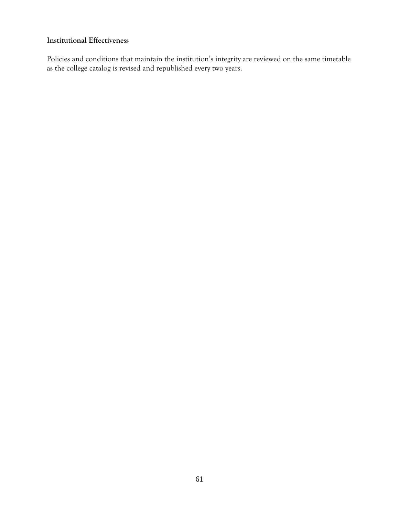#### **Institutional Effectiveness**

Policies and conditions that maintain the institution's integrity are reviewed on the same timetable as the college catalog is revised and republished every two years.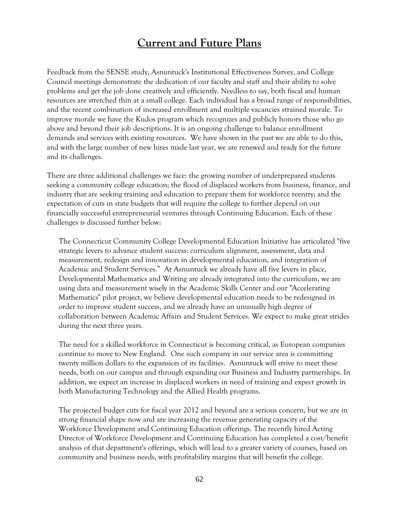## **Current and Future Plans**

Feedback from the SENSE study, Asnuntuck's Institutional Effectiveness Survey, and College Council meetings demonstrate the dedication of our faculty and staff and their ability to solve problems and get the job done creatively and efficiently. Needless to say, both fiscal and human resources are stretched thin at a small college. Each individual has a broad range of responsibilities, and the recent combination of increased enrollment and multiple vacancies strained morale. To improve morale we have the Kudos program which recognizes and publicly honors those who go above and beyond their job descriptions. It is an ongoing challenge to balance enrollment demands and services with existing resources. We have shown in the past we are able to do this, and with the large number of new hires made last year, we are renewed and ready for the future and its challenges.

There are three additional challenges we face: the growing number of underprepared students seeking a community college education; the flood of displaced workers from business, finance, and industry that are seeking training and education to prepare them for workforce reentry; and the expectation of cuts in state budgets that will require the college to further depend on our financially successful entrepreneurial ventures through Continuing Education. Each of these challenges is discussed further below:

The Connecticut Community College Developmental Education Initiative has articulated "five strategic levers to advance student success: curriculum alignment, assessment, data and measurement, redesign and innovation in developmental education, and integration of Academic and Student Services." At Asnuntuck we already have all five levers in place, Developmental Mathematics and Writing are already integrated into the curriculum, we are using data and measurement wisely in the Academic Skills Center and our "Accelerating Mathematics" pilot project, we believe developmental education needs to be redesigned in order to improve student success, and we already have an unusually high degree of collaboration between Academic Affairs and Student Services. We expect to make great strides during the next three years.

The need for a skilled workforce in Connecticut is becoming critical, as European companies continue to move to New England. One such company in our service area is committing twenty million dollars to the expansion of its facilities. Asnuntuck will strive to meet these needs, both on our campus and through expanding our Business and Industry partnerships. In addition, we expect an increase in displaced workers in need of training and expect growth in both Manufacturing Technology and the Allied Health programs.

The projected budget cuts for fiscal year 2012 and beyond are a serious concern, but we are in strong financial shape now and are increasing the revenue generating capacity of the Workforce Development and Continuing Education offerings. The recently hired Acting Director of Workforce Development and Continuing Education has completed a cost/benefit analysis of that department's offerings, which will lead to a greater variety of courses, based on community and business needs, with profitability margins that will benefit the college.